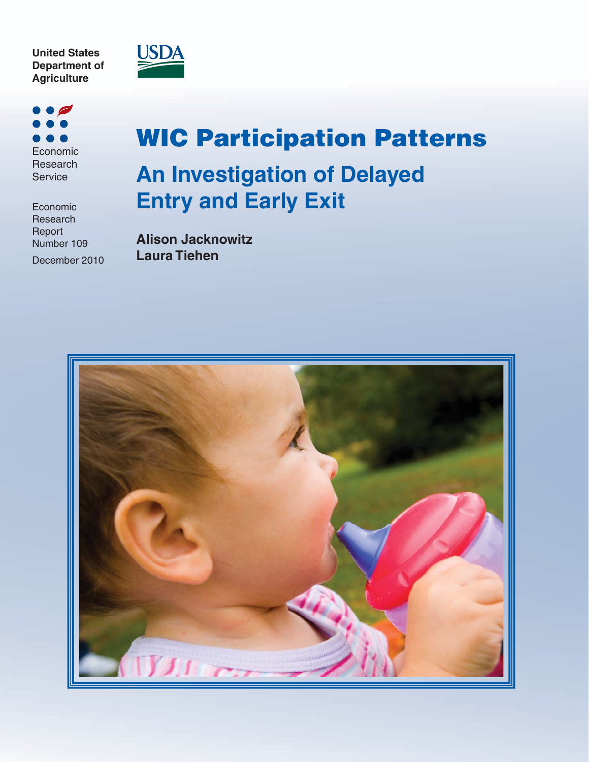



Economic Research Service

Economic Research Report Number 109 December 2010

# **WIC Participation Patterns An Investigation of Delayed Entry and Early Exit**

**Alison Jacknowitz Laura Tiehen**

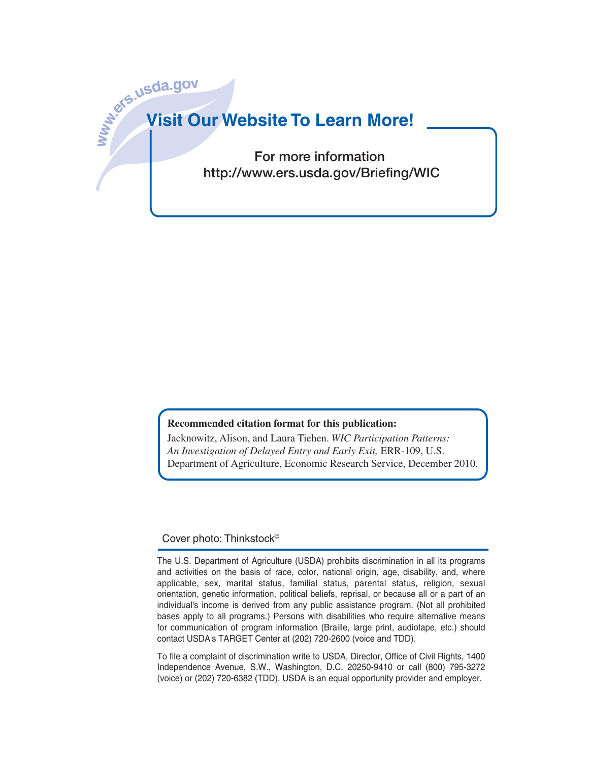# **www.ers.usda.go<sup>v</sup> Visit Our Website To Learn More!**

**For more information http://www.ers.usda.gov/Briefing/WIC**

#### **Recommended citation format for this publication:**

Jacknowitz, Alison, and Laura Tiehen. *WIC Participation Patterns: An Investigation of Delayed Entry and Early Exit,* ERR-109, U.S. Department of Agriculture, Economic Research Service, December 2010.

#### Cover photo: Thinkstock©

The U.S. Department of Agriculture (USDA) prohibits discrimination in all its programs and activities on the basis of race, color, national origin, age, disability, and, where applicable, sex, marital status, familial status, parental status, religion, sexual orientation, genetic information, political beliefs, reprisal, or because all or a part of an individual's income is derived from any public assistance program. (Not all prohibited bases apply to all programs.) Persons with disabilities who require alternative means for communication of program information (Braille, large print, audiotape, etc.) should contact USDA's TARGET Center at (202) 720-2600 (voice and TDD).

To file a complaint of discrimination write to USDA, Director, Office of Civil Rights, 1400 Independence Avenue, S.W., Washington, D.C. 20250-9410 or call (800) 795-3272 (voice) or (202) 720-6382 (TDD). USDA is an equal opportunity provider and employer.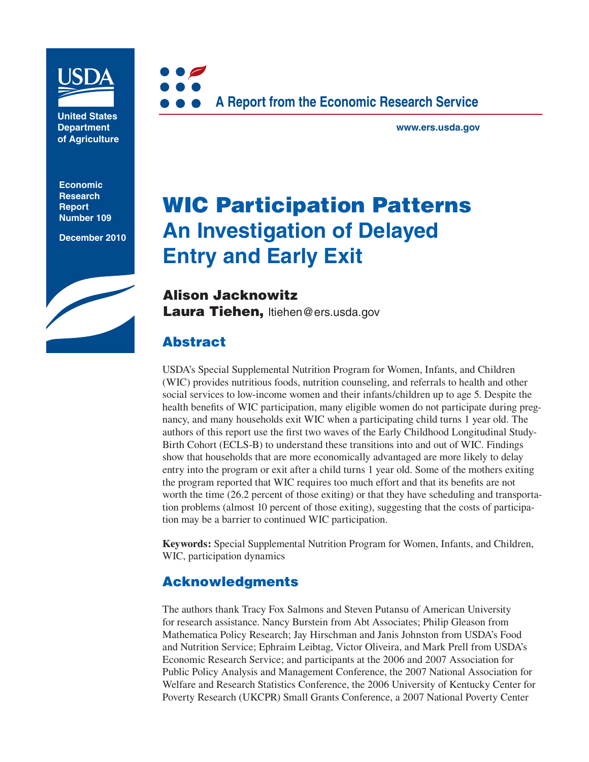

**United States Department of Agriculture**

**Economic Research Report Number 109**

**December 2010**





**www.ers.usda.gov**

# **WIC Participation Patterns An Investigation of Delayed Entry and Early Exit**

**Alison Jacknowitz Laura Tiehen,** ltiehen@ers.usda.gov

# **Abstract**

USDA's Special Supplemental Nutrition Program for Women, Infants, and Children (WIC) provides nutritious foods, nutrition counseling, and referrals to health and other social services to low-income women and their infants/children up to age 5. Despite the health benefits of WIC participation, many eligible women do not participate during pregnancy, and many households exit WIC when a participating child turns 1 year old. The authors of this report use the first two waves of the Early Childhood Longitudinal Study-Birth Cohort (ECLS-B) to understand these transitions into and out of WIC. Findings show that households that are more economically advantaged are more likely to delay entry into the program or exit after a child turns 1 year old. Some of the mothers exiting the program reported that WIC requires too much effort and that its benefits are not worth the time (26.2 percent of those exiting) or that they have scheduling and transportation problems (almost 10 percent of those exiting), suggesting that the costs of participation may be a barrier to continued WIC participation.

**Keywords:** Special Supplemental Nutrition Program for Women, Infants, and Children, WIC, participation dynamics

# **Acknowledgments**

The authors thank Tracy Fox Salmons and Steven Putansu of American University for research assistance. Nancy Burstein from Abt Associates; Philip Gleason from Mathematica Policy Research; Jay Hirschman and Janis Johnston from USDA's Food and Nutrition Service; Ephraim Leibtag, Victor Oliveira, and Mark Prell from USDA's Economic Research Service; and participants at the 2006 and 2007 Association for Public Policy Analysis and Management Conference, the 2007 National Association for Welfare and Research Statistics Conference, the 2006 University of Kentucky Center for Poverty Research (UKCPR) Small Grants Conference, a 2007 National Poverty Center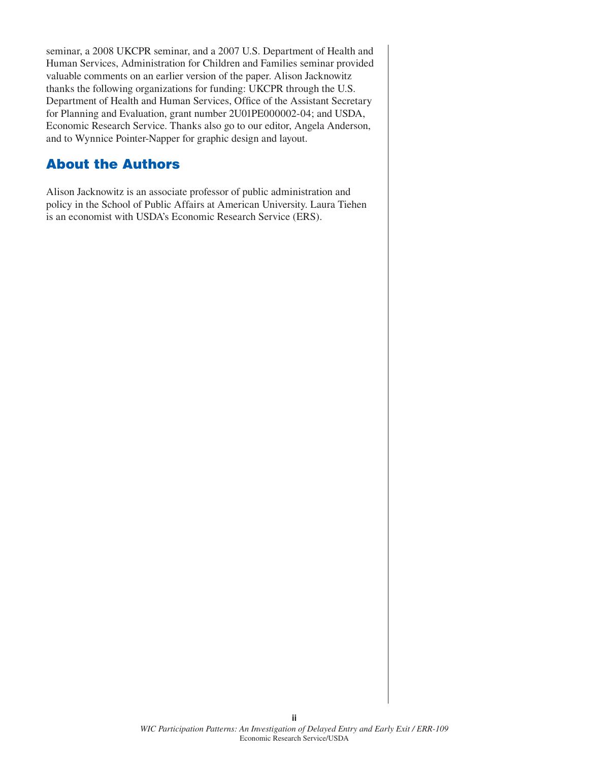seminar, a 2008 UKCPR seminar, and a 2007 U.S. Department of Health and Human Services, Administration for Children and Families seminar provided valuable comments on an earlier version of the paper. Alison Jacknowitz thanks the following organizations for funding: UKCPR through the U.S. Department of Health and Human Services, Office of the Assistant Secretary for Planning and Evaluation, grant number 2U01PE000002-04; and USDA, Economic Research Service. Thanks also go to our editor, Angela Anderson, and to Wynnice Pointer-Napper for graphic design and layout.

#### **About the Authors**

Alison Jacknowitz is an associate professor of public administration and policy in the School of Public Affairs at American University. Laura Tiehen is an economist with USDA's Economic Research Service (ERS).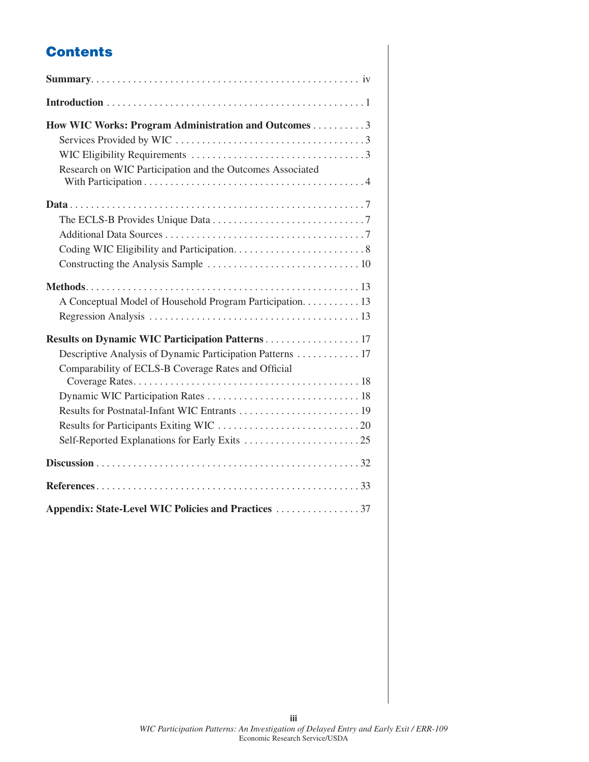# **Contents**

| How WIC Works: Program Administration and Outcomes 3<br>Research on WIC Participation and the Outcomes Associated |
|-------------------------------------------------------------------------------------------------------------------|
|                                                                                                                   |
| A Conceptual Model of Household Program Participation. 13                                                         |
| Descriptive Analysis of Dynamic Participation Patterns 17<br>Comparability of ECLS-B Coverage Rates and Official  |
|                                                                                                                   |
|                                                                                                                   |
| Appendix: State-Level WIC Policies and Practices 37                                                               |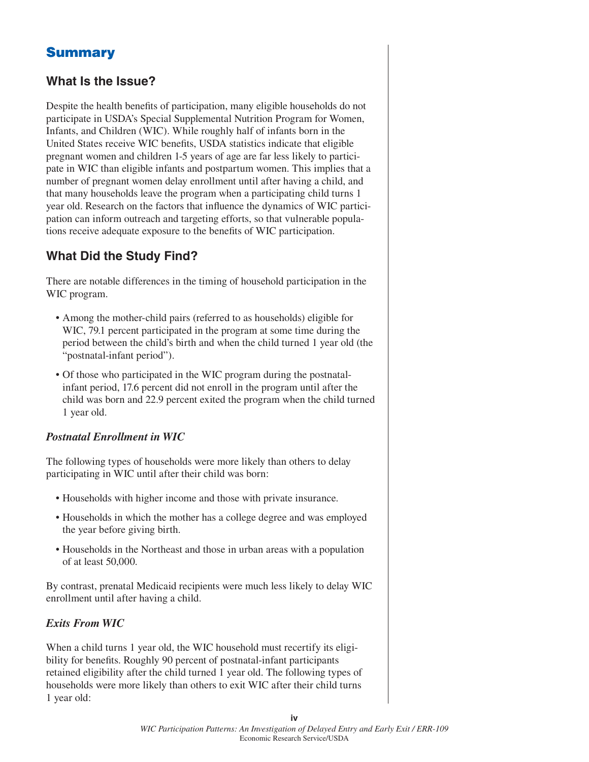# **Summary**

#### **What Is the Issue?**

Despite the health benefits of participation, many eligible households do not participate in USDA's Special Supplemental Nutrition Program for Women, Infants, and Children (WIC). While roughly half of infants born in the United States receive WIC benefits, USDA statistics indicate that eligible pregnant women and children 1-5 years of age are far less likely to participate in WIC than eligible infants and postpartum women. This implies that a number of pregnant women delay enrollment until after having a child, and that many households leave the program when a participating child turns 1 year old. Research on the factors that influence the dynamics of WIC participation can inform outreach and targeting efforts, so that vulnerable populations receive adequate exposure to the benefits of WIC participation.

#### **What Did the Study Find?**

There are notable differences in the timing of household participation in the WIC program.

- Among the mother-child pairs (referred to as households) eligible for WIC, 79.1 percent participated in the program at some time during the period between the child's birth and when the child turned 1 year old (the "postnatal-infant period").
- Of those who participated in the WIC program during the postnatalinfant period, 17.6 percent did not enroll in the program until after the child was born and 22.9 percent exited the program when the child turned 1 year old.

#### *Postnatal Enrollment in WIC*

The following types of households were more likely than others to delay participating in WIC until after their child was born:

- Households with higher income and those with private insurance.
- Households in which the mother has a college degree and was employed the year before giving birth.
- Households in the Northeast and those in urban areas with a population of at least 50,000.

By contrast, prenatal Medicaid recipients were much less likely to delay WIC enrollment until after having a child.

#### *Exits From WIC*

When a child turns 1 year old, the WIC household must recertify its eligibility for benefits. Roughly 90 percent of postnatal-infant participants retained eligibility after the child turned 1 year old. The following types of households were more likely than others to exit WIC after their child turns 1 year old: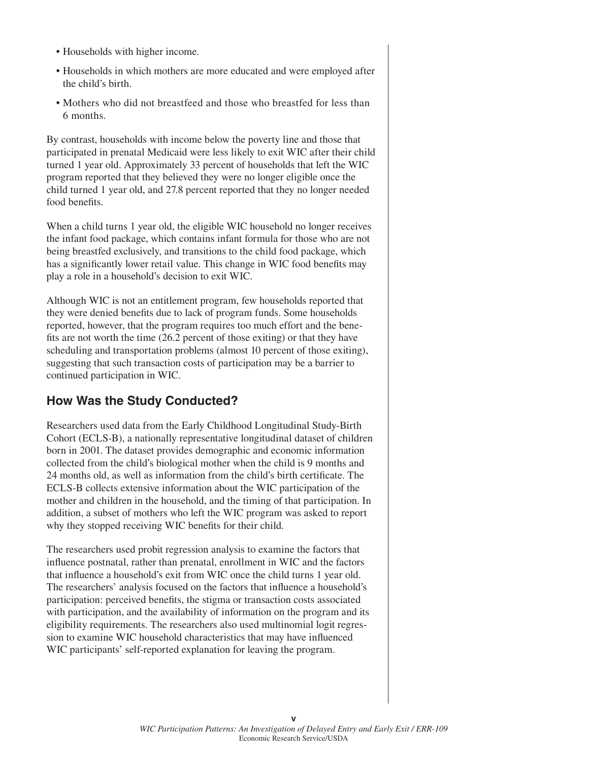- Households with higher income.
- Households in which mothers are more educated and were employed after the child's birth.
- Mothers who did not breastfeed and those who breastfed for less than 6 months.

By contrast, households with income below the poverty line and those that participated in prenatal Medicaid were less likely to exit WIC after their child turned 1 year old. Approximately 33 percent of households that left the WIC program reported that they believed they were no longer eligible once the child turned 1 year old, and 27.8 percent reported that they no longer needed food benefits.

When a child turns 1 year old, the eligible WIC household no longer receives the infant food package, which contains infant formula for those who are not being breastfed exclusively, and transitions to the child food package, which has a significantly lower retail value. This change in WIC food benefits may play a role in a household's decision to exit WIC.

Although WIC is not an entitlement program, few households reported that they were denied benefits due to lack of program funds. Some households reported, however, that the program requires too much effort and the benefits are not worth the time  $(26.2$  percent of those exiting) or that they have scheduling and transportation problems (almost 10 percent of those exiting), suggesting that such transaction costs of participation may be a barrier to continued participation in WIC.

#### **How Was the Study Conducted?**

Researchers used data from the Early Childhood Longitudinal Study-Birth Cohort (ECLS-B), a nationally representative longitudinal dataset of children born in 2001. The dataset provides demographic and economic information collected from the child's biological mother when the child is 9 months and 24 months old, as well as information from the child's birth certificate. The ECLS-B collects extensive information about the WIC participation of the mother and children in the household, and the timing of that participation. In addition, a subset of mothers who left the WIC program was asked to report why they stopped receiving WIC benefits for their child.

The researchers used probit regression analysis to examine the factors that influence postnatal, rather than prenatal, enrollment in WIC and the factors that influence a household's exit from WIC once the child turns 1 year old. The researchers' analysis focused on the factors that influence a household's participation: perceived benefits, the stigma or transaction costs associated with participation, and the availability of information on the program and its eligibility requirements. The researchers also used multinomial logit regression to examine WIC household characteristics that may have influenced WIC participants' self-reported explanation for leaving the program.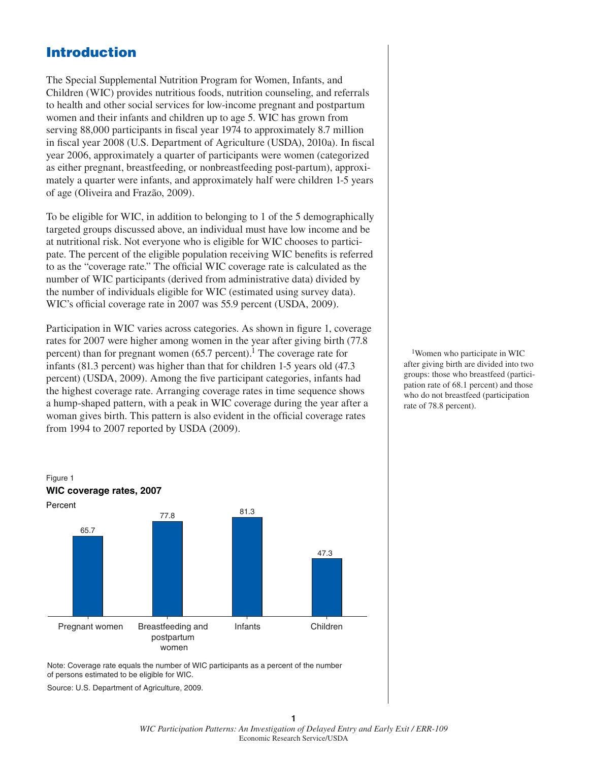#### **Introduction**

The Special Supplemental Nutrition Program for Women, Infants, and Children (WIC) provides nutritious foods, nutrition counseling, and referrals to health and other social services for low-income pregnant and postpartum women and their infants and children up to age 5. WIC has grown from serving 88,000 participants in fiscal year 1974 to approximately 8.7 million in fiscal year 2008 (U.S. Department of Agriculture (USDA), 2010a). In fiscal year 2006, approximately a quarter of participants were women (categorized as either pregnant, breastfeeding, or nonbreastfeeding post-partum), approximately a quarter were infants, and approximately half were children 1-5 years of age (Oliveira and Frazão, 2009).

To be eligible for WIC, in addition to belonging to 1 of the 5 demographically targeted groups discussed above, an individual must have low income and be at nutritional risk. Not everyone who is eligible for WIC chooses to participate. The percent of the eligible population receiving WIC benefits is referred to as the "coverage rate." The official WIC coverage rate is calculated as the number of WIC participants (derived from administrative data) divided by the number of individuals eligible for WIC (estimated using survey data). WIC's official coverage rate in 2007 was 55.9 percent (USDA, 2009).

Participation in WIC varies across categories. As shown in figure 1, coverage rates for 2007 were higher among women in the year after giving birth (77.8 percent) than for pregnant women  $(65.7 \text{ percent})$ . The coverage rate for infants (81.3 percent) was higher than that for children 1-5 years old (47.3 percent) (USDA, 2009). Among the five participant categories, infants had the highest coverage rate. Arranging coverage rates in time sequence shows a hump-shaped pattern, with a peak in WIC coverage during the year after a woman gives birth. This pattern is also evident in the official coverage rates from 1994 to 2007 reported by USDA (2009).

1Women who participate in WIC after giving birth are divided into two groups: those who breastfeed (participation rate of 68.1 percent) and those who do not breastfeed (participation rate of 78.8 percent).



Note: Coverage rate equals the number of WIC participants as a percent of the number of persons estimated to be eligible for WIC.

Source: U.S. Department of Agriculture, 2009.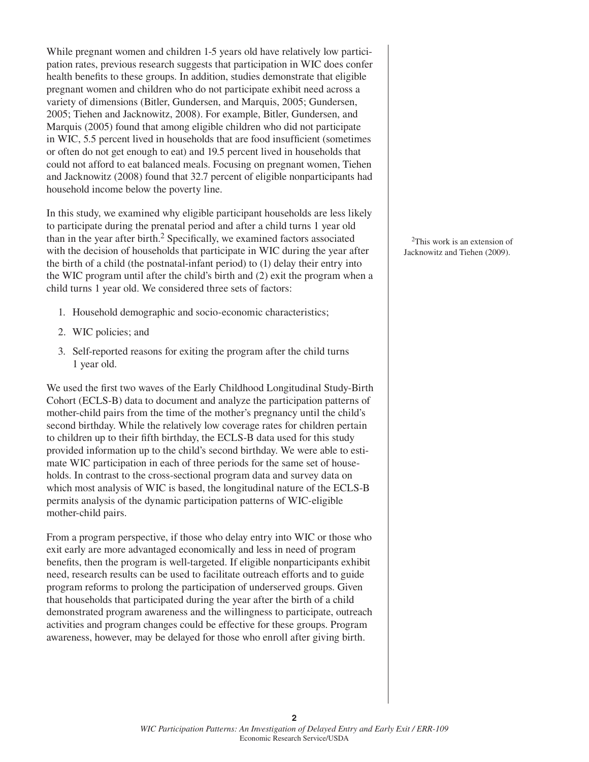While pregnant women and children 1-5 years old have relatively low participation rates, previous research suggests that participation in WIC does confer health benefits to these groups. In addition, studies demonstrate that eligible pregnant women and children who do not participate exhibit need across a variety of dimensions (Bitler, Gundersen, and Marquis, 2005; Gundersen, 2005; Tiehen and Jacknowitz, 2008). For example, Bitler, Gundersen, and Marquis (2005) found that among eligible children who did not participate in WIC, 5.5 percent lived in households that are food insufficient (sometimes) or often do not get enough to eat) and 19.5 percent lived in households that could not afford to eat balanced meals. Focusing on pregnant women, Tiehen and Jacknowitz (2008) found that 32.7 percent of eligible nonparticipants had household income below the poverty line.

In this study, we examined why eligible participant households are less likely to participate during the prenatal period and after a child turns 1 year old than in the year after birth.<sup>2</sup> Specifically, we examined factors associated with the decision of households that participate in WIC during the year after the birth of a child (the postnatal-infant period) to (1) delay their entry into the WIC program until after the child's birth and (2) exit the program when a child turns 1 year old. We considered three sets of factors:

- 1. Household demographic and socio-economic characteristics;
- 2. WIC policies; and
- 3. Self-reported reasons for exiting the program after the child turns 1 year old.

We used the first two waves of the Early Childhood Longitudinal Study-Birth Cohort (ECLS-B) data to document and analyze the participation patterns of mother-child pairs from the time of the mother's pregnancy until the child's second birthday. While the relatively low coverage rates for children pertain to children up to their fifth birthday, the ECLS-B data used for this study provided information up to the child's second birthday. We were able to estimate WIC participation in each of three periods for the same set of households. In contrast to the cross-sectional program data and survey data on which most analysis of WIC is based, the longitudinal nature of the ECLS-B permits analysis of the dynamic participation patterns of WIC-eligible mother-child pairs.

From a program perspective, if those who delay entry into WIC or those who exit early are more advantaged economically and less in need of program benefits, then the program is well-targeted. If eligible nonparticipants exhibit need, research results can be used to facilitate outreach efforts and to guide program reforms to prolong the participation of underserved groups. Given that households that participated during the year after the birth of a child demonstrated program awareness and the willingness to participate, outreach activities and program changes could be effective for these groups. Program awareness, however, may be delayed for those who enroll after giving birth.

2This work is an extension of Jacknowitz and Tiehen (2009).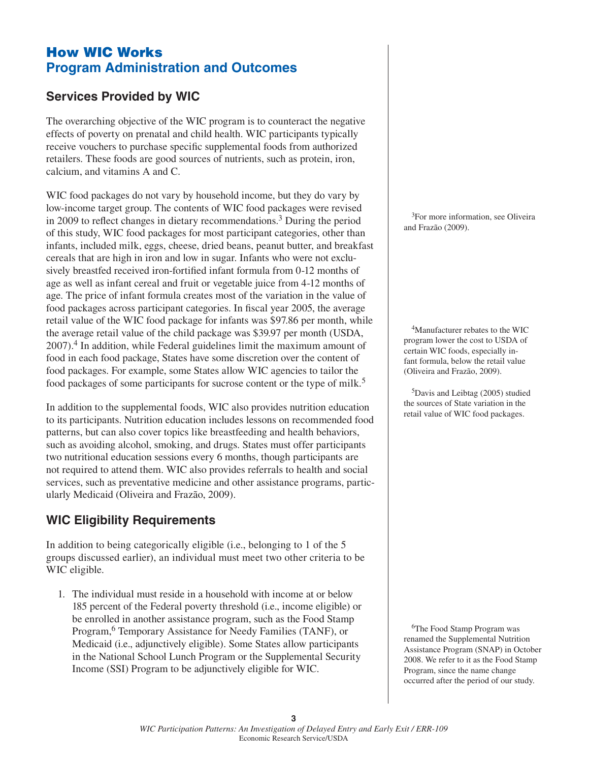# **How WIC Works Program Administration and Outcomes**

# **Services Provided by WIC**

The overarching objective of the WIC program is to counteract the negative effects of poverty on prenatal and child health. WIC participants typically receive vouchers to purchase specific supplemental foods from authorized retailers. These foods are good sources of nutrients, such as protein, iron, calcium, and vitamins A and C.

WIC food packages do not vary by household income, but they do vary by low-income target group. The contents of WIC food packages were revised in 2009 to reflect changes in dietary recommendations.<sup>3</sup> During the period of this study, WIC food packages for most participant categories, other than infants, included milk, eggs, cheese, dried beans, peanut butter, and breakfast cereals that are high in iron and low in sugar. Infants who were not exclusively breastfed received iron-fortified infant formula from 0-12 months of age as well as infant cereal and fruit or vegetable juice from 4-12 months of age. The price of infant formula creates most of the variation in the value of food packages across participant categories. In fiscal year 2005, the average retail value of the WIC food package for infants was \$97.86 per month, while the average retail value of the child package was \$39.97 per month (USDA,  $2007$ ).<sup>4</sup> In addition, while Federal guidelines limit the maximum amount of food in each food package, States have some discretion over the content of food packages. For example, some States allow WIC agencies to tailor the food packages of some participants for sucrose content or the type of milk.<sup>5</sup>

In addition to the supplemental foods, WIC also provides nutrition education to its participants. Nutrition education includes lessons on recommended food patterns, but can also cover topics like breastfeeding and health behaviors, such as avoiding alcohol, smoking, and drugs. States must offer participants two nutritional education sessions every 6 months, though participants are not required to attend them. WIC also provides referrals to health and social services, such as preventative medicine and other assistance programs, particularly Medicaid (Oliveira and Frazão, 2009).

# **WIC Eligibility Requirements**

In addition to being categorically eligible (i.e., belonging to 1 of the 5 groups discussed earlier), an individual must meet two other criteria to be WIC eligible.

1. The individual must reside in a household with income at or below 185 percent of the Federal poverty threshold (i.e., income eligible) or be enrolled in another assistance program, such as the Food Stamp Program,6 Temporary Assistance for Needy Families (TANF), or Medicaid (i.e., adjunctively eligible). Some States allow participants in the National School Lunch Program or the Supplemental Security Income (SSI) Program to be adjunctively eligible for WIC.

<sup>3</sup>For more information, see Oliveira and Frazão (2009).

4Manufacturer rebates to the WIC program lower the cost to USDA of certain WIC foods, especially infant formula, below the retail value (Oliveira and Frazão, 2009).

5Davis and Leibtag (2005) studied the sources of State variation in the retail value of WIC food packages.

6The Food Stamp Program was renamed the Supplemental Nutrition Assistance Program (SNAP) in October 2008. We refer to it as the Food Stamp Program, since the name change occurred after the period of our study.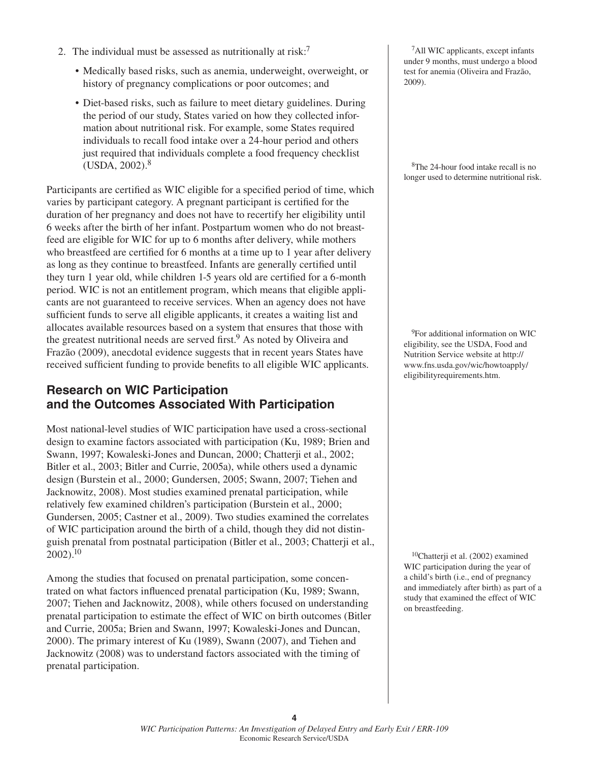- 2. The individual must be assessed as nutritionally at risk:<sup>7</sup>
	- Medically based risks, such as anemia, underweight, overweight, or history of pregnancy complications or poor outcomes; and
	- Diet-based risks, such as failure to meet dietary guidelines. During the period of our study, States varied on how they collected information about nutritional risk. For example, some States required individuals to recall food intake over a 24-hour period and others just required that individuals complete a food frequency checklist  $(USDA, 2002).$ <sup>8</sup>

Participants are certified as WIC eligible for a specified period of time, which varies by participant category. A pregnant participant is certified for the duration of her pregnancy and does not have to recertify her eligibility until 6 weeks after the birth of her infant. Postpartum women who do not breastfeed are eligible for WIC for up to 6 months after delivery, while mothers who breastfeed are certified for  $6$  months at a time up to 1 year after delivery as long as they continue to breastfeed. Infants are generally certified until they turn 1 year old, while children 1-5 years old are certified for a 6-month period. WIC is not an entitlement program, which means that eligible applicants are not guaranteed to receive services. When an agency does not have sufficient funds to serve all eligible applicants, it creates a waiting list and allocates available resources based on a system that ensures that those with the greatest nutritional needs are served first.<sup>9</sup> As noted by Oliveira and Frazão (2009), anecdotal evidence suggests that in recent years States have received sufficient funding to provide benefits to all eligible WIC applicants.

#### **Research on WIC Participation and the Outcomes Associated With Participation**

Most national-level studies of WIC participation have used a cross-sectional design to examine factors associated with participation (Ku, 1989; Brien and Swann, 1997; Kowaleski-Jones and Duncan, 2000; Chatterji et al., 2002; Bitler et al., 2003; Bitler and Currie, 2005a), while others used a dynamic design (Burstein et al., 2000; Gundersen, 2005; Swann, 2007; Tiehen and Jacknowitz, 2008). Most studies examined prenatal participation, while relatively few examined children's participation (Burstein et al., 2000; Gundersen, 2005; Castner et al., 2009). Two studies examined the correlates of WIC participation around the birth of a child, though they did not distinguish prenatal from postnatal participation (Bitler et al., 2003; Chatterji et al.,  $2002$ ).<sup>10</sup>

Among the studies that focused on prenatal participation, some concentrated on what factors influenced prenatal participation (Ku, 1989; Swann, 2007; Tiehen and Jacknowitz, 2008), while others focused on understanding prenatal participation to estimate the effect of WIC on birth outcomes (Bitler and Currie, 2005a; Brien and Swann, 1997; Kowaleski-Jones and Duncan, 2000). The primary interest of Ku (1989), Swann (2007), and Tiehen and Jacknowitz (2008) was to understand factors associated with the timing of prenatal participation.

7All WIC applicants, except infants under 9 months, must undergo a blood test for anemia (Oliveira and Frazão, 2009).

8The 24-hour food intake recall is no longer used to determine nutritional risk.

<sup>9</sup>For additional information on WIC eligibility, see the USDA, Food and Nutrition Service website at http:// www.fns.usda.gov/wic/howtoapply/ eligibilityrequirements.htm.

10Chatterji et al. (2002) examined WIC participation during the year of a child's birth (i.e., end of pregnancy and immediately after birth) as part of a study that examined the effect of WIC on breastfeeding.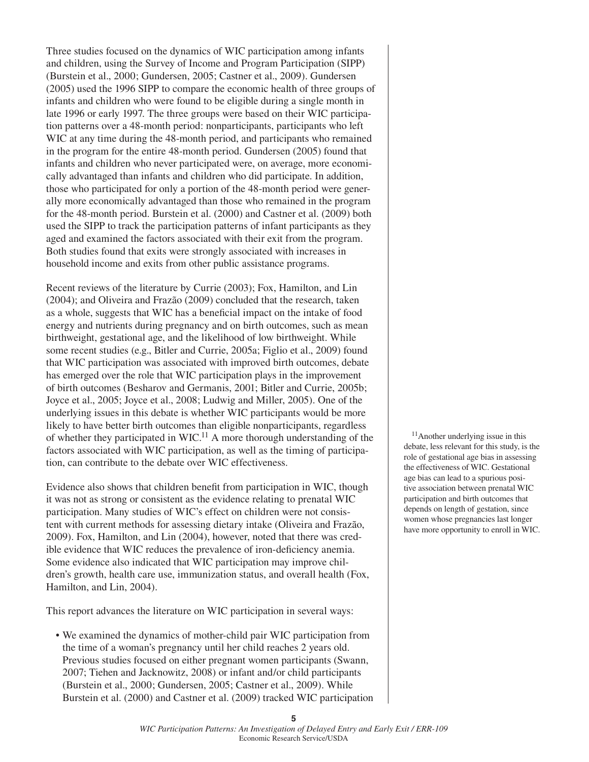Three studies focused on the dynamics of WIC participation among infants and children, using the Survey of Income and Program Participation (SIPP) (Burstein et al., 2000; Gundersen, 2005; Castner et al., 2009). Gundersen (2005) used the 1996 SIPP to compare the economic health of three groups of infants and children who were found to be eligible during a single month in late 1996 or early 1997. The three groups were based on their WIC participation patterns over a 48-month period: nonparticipants, participants who left WIC at any time during the 48-month period, and participants who remained in the program for the entire 48-month period. Gundersen (2005) found that infants and children who never participated were, on average, more economically advantaged than infants and children who did participate. In addition, those who participated for only a portion of the 48-month period were generally more economically advantaged than those who remained in the program for the 48-month period. Burstein et al. (2000) and Castner et al. (2009) both used the SIPP to track the participation patterns of infant participants as they aged and examined the factors associated with their exit from the program. Both studies found that exits were strongly associated with increases in household income and exits from other public assistance programs.

Recent reviews of the literature by Currie (2003); Fox, Hamilton, and Lin (2004); and Oliveira and Frazão (2009) concluded that the research, taken as a whole, suggests that WIC has a beneficial impact on the intake of food energy and nutrients during pregnancy and on birth outcomes, such as mean birthweight, gestational age, and the likelihood of low birthweight. While some recent studies (e.g., Bitler and Currie, 2005a; Figlio et al., 2009) found that WIC participation was associated with improved birth outcomes, debate has emerged over the role that WIC participation plays in the improvement of birth outcomes (Besharov and Germanis, 2001; Bitler and Currie, 2005b; Joyce et al., 2005; Joyce et al., 2008; Ludwig and Miller, 2005). One of the underlying issues in this debate is whether WIC participants would be more likely to have better birth outcomes than eligible nonparticipants, regardless of whether they participated in WIC.<sup>11</sup> A more thorough understanding of the factors associated with WIC participation, as well as the timing of participation, can contribute to the debate over WIC effectiveness.

Evidence also shows that children benefit from participation in WIC, though it was not as strong or consistent as the evidence relating to prenatal WIC participation. Many studies of WIC's effect on children were not consistent with current methods for assessing dietary intake (Oliveira and Frazão, 2009). Fox, Hamilton, and Lin (2004), however, noted that there was credible evidence that WIC reduces the prevalence of iron-deficiency anemia. Some evidence also indicated that WIC participation may improve children's growth, health care use, immunization status, and overall health (Fox, Hamilton, and Lin, 2004).

This report advances the literature on WIC participation in several ways:

• We examined the dynamics of mother-child pair WIC participation from the time of a woman's pregnancy until her child reaches 2 years old. Previous studies focused on either pregnant women participants (Swann, 2007; Tiehen and Jacknowitz, 2008) or infant and/or child participants (Burstein et al., 2000; Gundersen, 2005; Castner et al., 2009). While Burstein et al. (2000) and Castner et al. (2009) tracked WIC participation

11Another underlying issue in this debate, less relevant for this study, is the role of gestational age bias in assessing the effectiveness of WIC. Gestational age bias can lead to a spurious positive association between prenatal WIC participation and birth outcomes that depends on length of gestation, since women whose pregnancies last longer have more opportunity to enroll in WIC.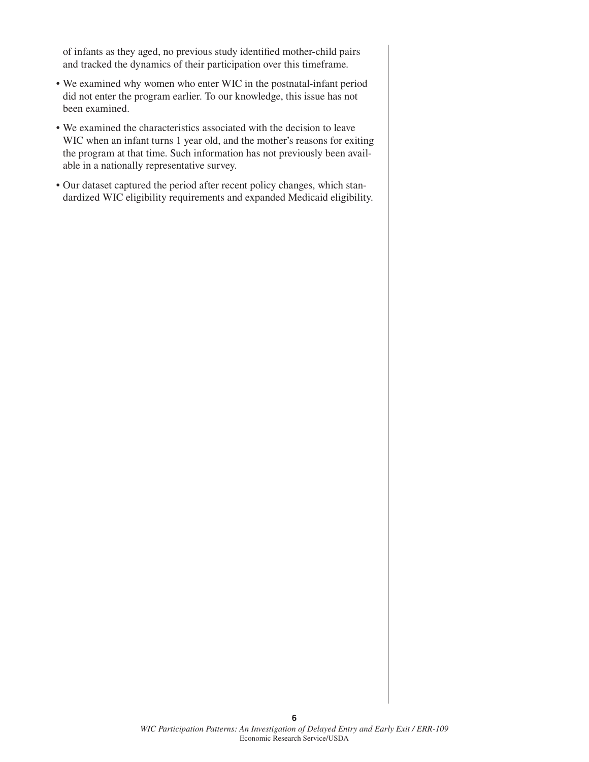of infants as they aged, no previous study identified mother-child pairs and tracked the dynamics of their participation over this timeframe.

- We examined why women who enter WIC in the postnatal-infant period did not enter the program earlier. To our knowledge, this issue has not been examined.
- We examined the characteristics associated with the decision to leave WIC when an infant turns 1 year old, and the mother's reasons for exiting the program at that time. Such information has not previously been available in a nationally representative survey.
- Our dataset captured the period after recent policy changes, which standardized WIC eligibility requirements and expanded Medicaid eligibility.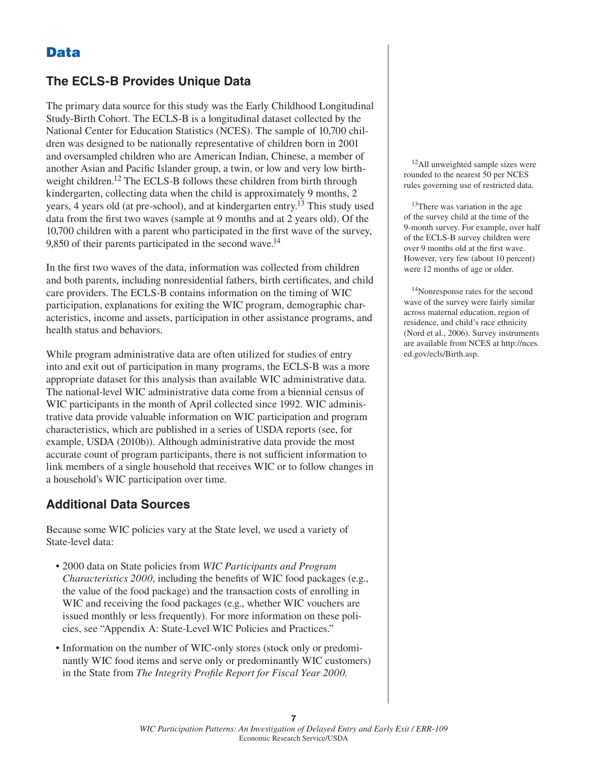# **Data**

#### **The ECLS-B Provides Unique Data**

The primary data source for this study was the Early Childhood Longitudinal Study-Birth Cohort. The ECLS-B is a longitudinal dataset collected by the National Center for Education Statistics (NCES). The sample of 10,700 children was designed to be nationally representative of children born in 2001 and oversampled children who are American Indian, Chinese, a member of another Asian and Pacific Islander group, a twin, or low and very low birthweight children.<sup>12</sup> The ECLS-B follows these children from birth through kindergarten, collecting data when the child is approximately 9 months, 2 years, 4 years old (at pre-school), and at kindergarten entry.13 This study used data from the first two waves (sample at 9 months and at 2 years old). Of the 10,700 children with a parent who participated in the first wave of the survey, 9,850 of their parents participated in the second wave.<sup>14</sup>

In the first two waves of the data, information was collected from children and both parents, including nonresidential fathers, birth certificates, and child care providers. The ECLS-B contains information on the timing of WIC participation, explanations for exiting the WIC program, demographic characteristics, income and assets, participation in other assistance programs, and health status and behaviors.

While program administrative data are often utilized for studies of entry into and exit out of participation in many programs, the ECLS-B was a more appropriate dataset for this analysis than available WIC administrative data. The national-level WIC administrative data come from a biennial census of WIC participants in the month of April collected since 1992. WIC administrative data provide valuable information on WIC participation and program characteristics, which are published in a series of USDA reports (see, for example, USDA (2010b)). Although administrative data provide the most accurate count of program participants, there is not sufficient information to link members of a single household that receives WIC or to follow changes in a household's WIC participation over time.

#### **Additional Data Sources**

Because some WIC policies vary at the State level, we used a variety of State-level data:

- 2000 data on State policies from *WIC Participants and Program Characteristics 2000*, including the benefits of WIC food packages (e.g., the value of the food package) and the transaction costs of enrolling in WIC and receiving the food packages (e.g., whether WIC vouchers are issued monthly or less frequently). For more information on these policies, see "Appendix A: State-Level WIC Policies and Practices."
- Information on the number of WIC-only stores (stock only or predominantly WIC food items and serve only or predominantly WIC customers) in the State from *The Integrity Profile Report for Fiscal Year 2000*.

<sup>12</sup>All unweighted sample sizes were rounded to the nearest 50 per NCES rules governing use of restricted data.

<sup>13</sup>There was variation in the age of the survey child at the time of the 9-month survey. For example, over half of the ECLS-B survey children were over 9 months old at the first wave. However, very few (about 10 percent) were 12 months of age or older.

14Nonresponse rates for the second wave of the survey were fairly similar across maternal education, region of residence, and child's race ethnicity (Nord et al., 2006). Survey instruments are available from NCES at http://nces. ed.gov/ecls/Birth.asp.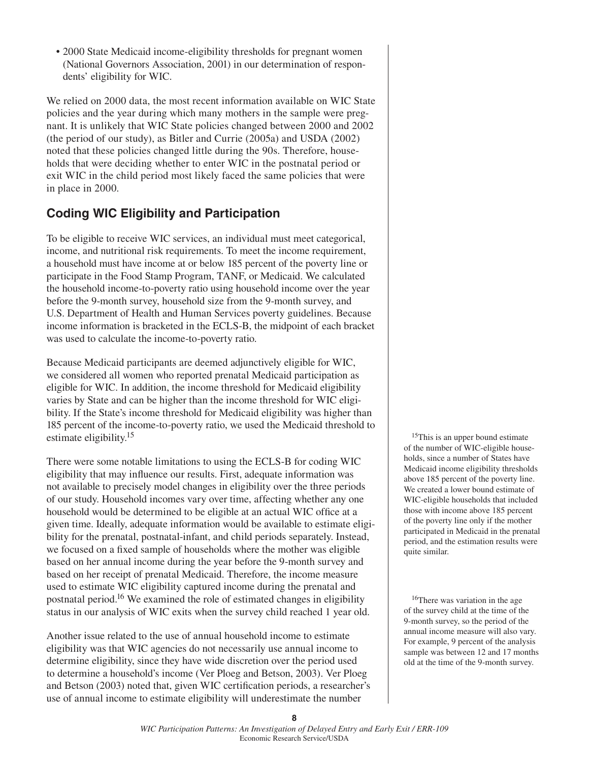• 2000 State Medicaid income-eligibility thresholds for pregnant women (National Governors Association, 2001) in our determination of respondents' eligibility for WIC.

We relied on 2000 data, the most recent information available on WIC State policies and the year during which many mothers in the sample were pregnant. It is unlikely that WIC State policies changed between 2000 and 2002 (the period of our study), as Bitler and Currie (2005a) and USDA (2002) noted that these policies changed little during the 90s. Therefore, households that were deciding whether to enter WIC in the postnatal period or exit WIC in the child period most likely faced the same policies that were in place in 2000.

# **Coding WIC Eligibility and Participation**

To be eligible to receive WIC services, an individual must meet categorical, income, and nutritional risk requirements. To meet the income requirement, a household must have income at or below 185 percent of the poverty line or participate in the Food Stamp Program, TANF, or Medicaid. We calculated the household income-to-poverty ratio using household income over the year before the 9-month survey, household size from the 9-month survey, and U.S. Department of Health and Human Services poverty guidelines. Because income information is bracketed in the ECLS-B, the midpoint of each bracket was used to calculate the income-to-poverty ratio.

Because Medicaid participants are deemed adjunctively eligible for WIC, we considered all women who reported prenatal Medicaid participation as eligible for WIC. In addition, the income threshold for Medicaid eligibility varies by State and can be higher than the income threshold for WIC eligibility. If the State's income threshold for Medicaid eligibility was higher than 185 percent of the income-to-poverty ratio, we used the Medicaid threshold to estimate eligibility.<sup>15</sup>

There were some notable limitations to using the ECLS-B for coding WIC eligibility that may influence our results. First, adequate information was not available to precisely model changes in eligibility over the three periods of our study. Household incomes vary over time, affecting whether any one household would be determined to be eligible at an actual WIC office at a given time. Ideally, adequate information would be available to estimate eligibility for the prenatal, postnatal-infant, and child periods separately. Instead, we focused on a fixed sample of households where the mother was eligible based on her annual income during the year before the 9-month survey and based on her receipt of prenatal Medicaid. Therefore, the income measure used to estimate WIC eligibility captured income during the prenatal and postnatal period.16 We examined the role of estimated changes in eligibility status in our analysis of WIC exits when the survey child reached 1 year old.

Another issue related to the use of annual household income to estimate eligibility was that WIC agencies do not necessarily use annual income to determine eligibility, since they have wide discretion over the period used to determine a household's income (Ver Ploeg and Betson, 2003). Ver Ploeg and Betson (2003) noted that, given WIC certification periods, a researcher's use of annual income to estimate eligibility will underestimate the number

<sup>15</sup>This is an upper bound estimate of the number of WIC-eligible households, since a number of States have Medicaid income eligibility thresholds above 185 percent of the poverty line. We created a lower bound estimate of WIC-eligible households that included those with income above 185 percent of the poverty line only if the mother participated in Medicaid in the prenatal period, and the estimation results were quite similar.

16There was variation in the age of the survey child at the time of the 9-month survey, so the period of the annual income measure will also vary. For example, 9 percent of the analysis sample was between 12 and 17 months old at the time of the 9-month survey.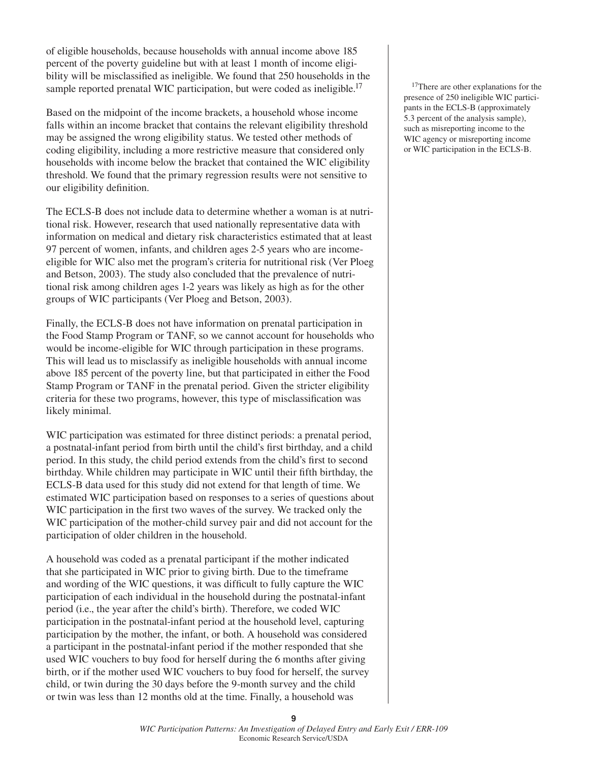of eligible households, because households with annual income above 185 percent of the poverty guideline but with at least 1 month of income eligibility will be misclassified as ineligible. We found that 250 households in the sample reported prenatal WIC participation, but were coded as ineligible.<sup>17</sup>

Based on the midpoint of the income brackets, a household whose income falls within an income bracket that contains the relevant eligibility threshold may be assigned the wrong eligibility status. We tested other methods of coding eligibility, including a more restrictive measure that considered only households with income below the bracket that contained the WIC eligibility threshold. We found that the primary regression results were not sensitive to our eligibility definition.

The ECLS-B does not include data to determine whether a woman is at nutritional risk. However, research that used nationally representative data with information on medical and dietary risk characteristics estimated that at least 97 percent of women, infants, and children ages 2-5 years who are incomeeligible for WIC also met the program's criteria for nutritional risk (Ver Ploeg and Betson, 2003). The study also concluded that the prevalence of nutritional risk among children ages 1-2 years was likely as high as for the other groups of WIC participants (Ver Ploeg and Betson, 2003).

Finally, the ECLS-B does not have information on prenatal participation in the Food Stamp Program or TANF, so we cannot account for households who would be income-eligible for WIC through participation in these programs. This will lead us to misclassify as ineligible households with annual income above 185 percent of the poverty line, but that participated in either the Food Stamp Program or TANF in the prenatal period. Given the stricter eligibility criteria for these two programs, however, this type of misclassification was likely minimal.

WIC participation was estimated for three distinct periods: a prenatal period, a postnatal-infant period from birth until the child's first birthday, and a child period. In this study, the child period extends from the child's first to second birthday. While children may participate in WIC until their fifth birthday, the ECLS-B data used for this study did not extend for that length of time. We estimated WIC participation based on responses to a series of questions about WIC participation in the first two waves of the survey. We tracked only the WIC participation of the mother-child survey pair and did not account for the participation of older children in the household.

A household was coded as a prenatal participant if the mother indicated that she participated in WIC prior to giving birth. Due to the timeframe and wording of the WIC questions, it was difficult to fully capture the WIC participation of each individual in the household during the postnatal-infant period (i.e., the year after the child's birth). Therefore, we coded WIC participation in the postnatal-infant period at the household level, capturing participation by the mother, the infant, or both. A household was considered a participant in the postnatal-infant period if the mother responded that she used WIC vouchers to buy food for herself during the 6 months after giving birth, or if the mother used WIC vouchers to buy food for herself, the survey child, or twin during the 30 days before the 9-month survey and the child or twin was less than 12 months old at the time. Finally, a household was

<sup>17</sup>There are other explanations for the presence of 250 ineligible WIC participants in the ECLS-B (approximately 5.3 percent of the analysis sample), such as misreporting income to the WIC agency or misreporting income or WIC participation in the ECLS-B.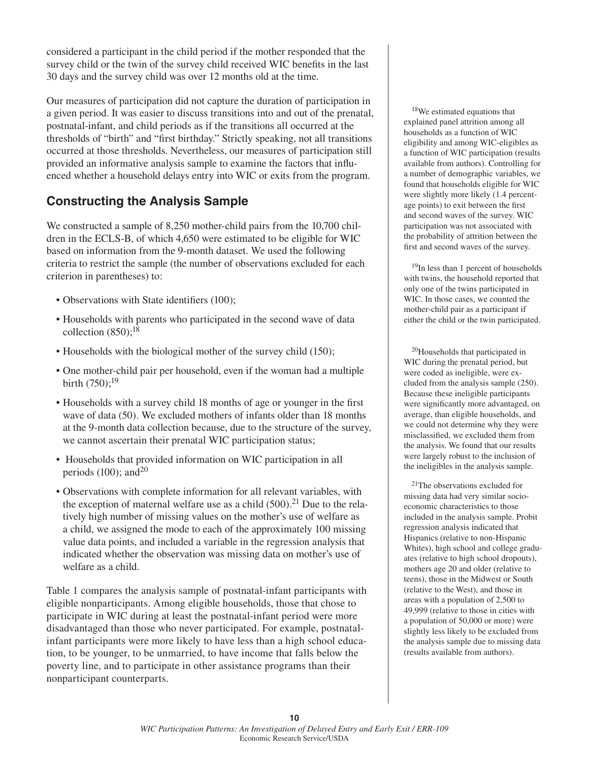considered a participant in the child period if the mother responded that the survey child or the twin of the survey child received WIC benefits in the last 30 days and the survey child was over 12 months old at the time.

Our measures of participation did not capture the duration of participation in a given period. It was easier to discuss transitions into and out of the prenatal, postnatal-infant, and child periods as if the transitions all occurred at the thresholds of "birth" and "first birthday." Strictly speaking, not all transitions occurred at those thresholds. Nevertheless, our measures of participation still provided an informative analysis sample to examine the factors that influenced whether a household delays entry into WIC or exits from the program.

#### **Constructing the Analysis Sample**

We constructed a sample of 8,250 mother-child pairs from the 10,700 children in the ECLS-B, of which 4,650 were estimated to be eligible for WIC based on information from the 9-month dataset. We used the following criteria to restrict the sample (the number of observations excluded for each criterion in parentheses) to:

- Observations with State identifiers (100);
- Households with parents who participated in the second wave of data collection  $(850)$ ;<sup>18</sup>
- Households with the biological mother of the survey child (150);
- One mother-child pair per household, even if the woman had a multiple birth  $(750)$ ;<sup>19</sup>
- Households with a survey child 18 months of age or younger in the first wave of data (50). We excluded mothers of infants older than 18 months at the 9-month data collection because, due to the structure of the survey, we cannot ascertain their prenatal WIC participation status;
- Households that provided information on WIC participation in all periods  $(100)$ ; and<sup>20</sup>
- Observations with complete information for all relevant variables, with the exception of maternal welfare use as a child  $(500).<sup>21</sup>$  Due to the relatively high number of missing values on the mother's use of welfare as a child, we assigned the mode to each of the approximately 100 missing value data points, and included a variable in the regression analysis that indicated whether the observation was missing data on mother's use of welfare as a child.

Table 1 compares the analysis sample of postnatal-infant participants with eligible nonparticipants. Among eligible households, those that chose to participate in WIC during at least the postnatal-infant period were more disadvantaged than those who never participated. For example, postnatalinfant participants were more likely to have less than a high school education, to be younger, to be unmarried, to have income that falls below the poverty line, and to participate in other assistance programs than their nonparticipant counterparts.

18We estimated equations that explained panel attrition among all households as a function of WIC eligibility and among WIC-eligibles as a function of WIC participation (results available from authors). Controlling for a number of demographic variables, we found that households eligible for WIC were slightly more likely (1.4 percentage points) to exit between the first and second waves of the survey. WIC participation was not associated with the probability of attrition between the first and second waves of the survey.

19In less than 1 percent of households with twins, the household reported that only one of the twins participated in WIC. In those cases, we counted the mother-child pair as a participant if either the child or the twin participated.

20Households that participated in WIC during the prenatal period, but were coded as ineligible, were excluded from the analysis sample (250). Because these ineligible participants were significantly more advantaged, on average, than eligible households, and we could not determine why they were misclassified, we excluded them from the analysis. We found that our results were largely robust to the inclusion of the ineligibles in the analysis sample.

21The observations excluded for missing data had very similar socioeconomic characteristics to those included in the analysis sample. Probit regression analysis indicated that Hispanics (relative to non-Hispanic Whites), high school and college graduates (relative to high school dropouts), mothers age 20 and older (relative to teens), those in the Midwest or South (relative to the West), and those in areas with a population of 2,500 to 49,999 (relative to those in cities with a population of 50,000 or more) were slightly less likely to be excluded from the analysis sample due to missing data (results available from authors).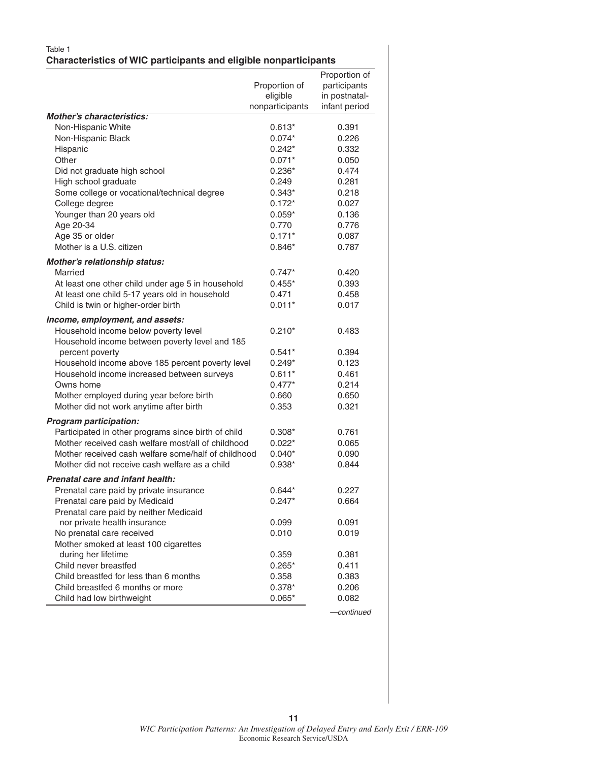#### Table 1 **Characteristics of WIC participants and eligible nonparticipants**

|                                                                                                           |                      | Proportion of  |
|-----------------------------------------------------------------------------------------------------------|----------------------|----------------|
|                                                                                                           | Proportion of        | participants   |
|                                                                                                           | eligible             | in postnatal-  |
|                                                                                                           | nonparticipants      | infant period  |
| <b>Mother's characteristics:</b>                                                                          |                      |                |
| Non-Hispanic White                                                                                        | $0.613*$             | 0.391          |
| Non-Hispanic Black                                                                                        | $0.074*$             | 0.226          |
| Hispanic                                                                                                  | $0.242*$             | 0.332          |
| Other                                                                                                     | $0.071*$             | 0.050          |
| Did not graduate high school                                                                              | $0.236*$             | 0.474          |
| High school graduate                                                                                      | 0.249                | 0.281          |
| Some college or vocational/technical degree                                                               | $0.343*$             | 0.218          |
| College degree                                                                                            | $0.172*$             | 0.027          |
| Younger than 20 years old                                                                                 | $0.059*$             | 0.136          |
| Age 20-34                                                                                                 | 0.770                | 0.776          |
| Age 35 or older                                                                                           | $0.171*$             | 0.087          |
| Mother is a U.S. citizen                                                                                  | $0.846*$             | 0.787          |
| Mother's relationship status:                                                                             |                      |                |
| Married                                                                                                   | $0.747*$             | 0.420          |
| At least one other child under age 5 in household                                                         | $0.455*$             | 0.393          |
| At least one child 5-17 years old in household                                                            | 0.471                | 0.458          |
| Child is twin or higher-order birth                                                                       | $0.011*$             | 0.017          |
| Income, employment, and assets:                                                                           |                      |                |
| Household income below poverty level                                                                      | $0.210*$             | 0.483          |
| Household income between poverty level and 185                                                            |                      |                |
| percent poverty                                                                                           | $0.541*$             | 0.394          |
| Household income above 185 percent poverty level                                                          | $0.249*$             | 0.123          |
| Household income increased between surveys                                                                | $0.611*$             | 0.461          |
| Owns home                                                                                                 | $0.477*$             | 0.214          |
| Mother employed during year before birth                                                                  | 0.660                | 0.650          |
| Mother did not work anytime after birth                                                                   | 0.353                | 0.321          |
|                                                                                                           |                      |                |
| Program participation:                                                                                    |                      |                |
| Participated in other programs since birth of child<br>Mother received cash welfare most/all of childhood | $0.308*$<br>$0.022*$ | 0.761<br>0.065 |
| Mother received cash welfare some/half of childhood                                                       | $0.040*$             | 0.090          |
| Mother did not receive cash welfare as a child                                                            | $0.938*$             | 0.844          |
|                                                                                                           |                      |                |
| Prenatal care and infant health:                                                                          |                      |                |
| Prenatal care paid by private insurance                                                                   | 0.644*               | 0.227          |
| Prenatal care paid by Medicaid                                                                            | $0.247*$             | 0.664          |
| Prenatal care paid by neither Medicaid                                                                    |                      |                |
| nor private health insurance                                                                              | 0.099                | 0.091          |
| No prenatal care received                                                                                 | 0.010                | 0.019          |
| Mother smoked at least 100 cigarettes                                                                     |                      |                |
| during her lifetime                                                                                       | 0.359                | 0.381          |
| Child never breastfed                                                                                     | $0.265*$             | 0.411          |
| Child breastfed for less than 6 months                                                                    | 0.358                | 0.383          |
| Child breastfed 6 months or more                                                                          | $0.378*$             | 0.206          |
| Child had low birthweight                                                                                 | $0.065*$             | 0.082          |

*—continued*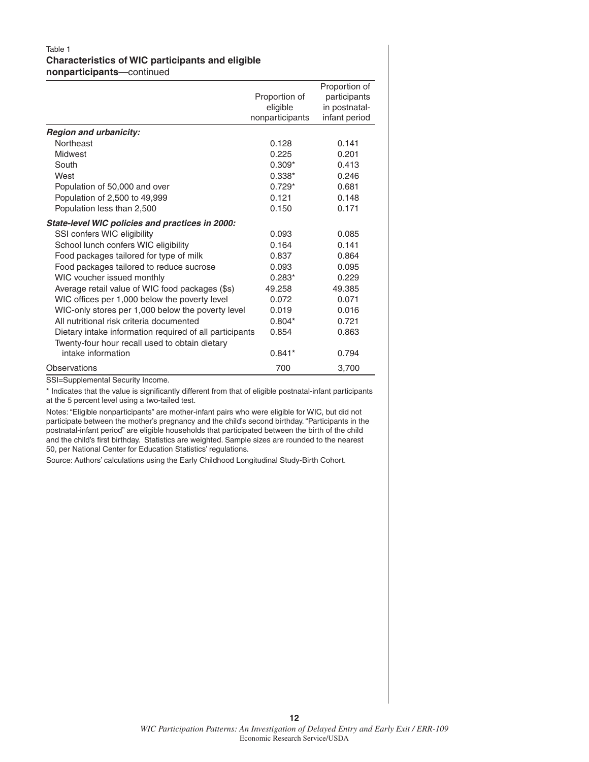#### Table 1 **Characteristics of WIC participants and eligible nonparticipants**—continued

|                                                         |                 | Proportion of |
|---------------------------------------------------------|-----------------|---------------|
|                                                         | Proportion of   | participants  |
|                                                         | eligible        | in postnatal- |
|                                                         | nonparticipants | infant period |
| <b>Region and urbanicity:</b>                           |                 |               |
| Northeast                                               | 0.128           | 0.141         |
| Midwest                                                 | 0.225           | 0.201         |
| South                                                   | $0.309*$        | 0.413         |
| West                                                    | $0.338*$        | 0.246         |
| Population of 50,000 and over                           | $0.729*$        | 0.681         |
| Population of 2,500 to 49,999                           | 0.121           | 0.148         |
| Population less than 2,500                              | 0.150           | 0.171         |
| State-level WIC policies and practices in 2000:         |                 |               |
| SSI confers WIC eligibility                             | 0.093           | 0.085         |
| School lunch confers WIC eligibility                    | 0.164           | 0.141         |
| Food packages tailored for type of milk                 | 0.837           | 0.864         |
| Food packages tailored to reduce sucrose                | 0.093           | 0.095         |
| WIC voucher issued monthly                              | $0.283*$        | 0.229         |
| Average retail value of WIC food packages (\$s)         | 49.258          | 49.385        |
| WIC offices per 1,000 below the poverty level           | 0.072           | 0.071         |
| WIC-only stores per 1,000 below the poverty level       | 0.019           | 0.016         |
| All nutritional risk criteria documented                | $0.804*$        | 0.721         |
| Dietary intake information required of all participants | 0.854           | 0.863         |
| Twenty-four hour recall used to obtain dietary          |                 |               |
| intake information                                      | $0.841*$        | 0.794         |
| Observations                                            | 700             | 3,700         |

SSI=Supplemental Security Income.

\* Indicates that the value is significantly different from that of eligible postnatal-infant participants at the 5 percent level using a two-tailed test.

Notes: "Eligible nonparticipants" are mother-infant pairs who were eligible for WIC, but did not participate between the mother's pregnancy and the child's second birthday. "Participants in the postnatal-infant period" are eligible households that participated between the birth of the child and the child's first birthday. Statistics are weighted. Sample sizes are rounded to the nearest 50, per National Center for Education Statistics' regulations.

Source: Authors' calculations using the Early Childhood Longitudinal Study-Birth Cohort.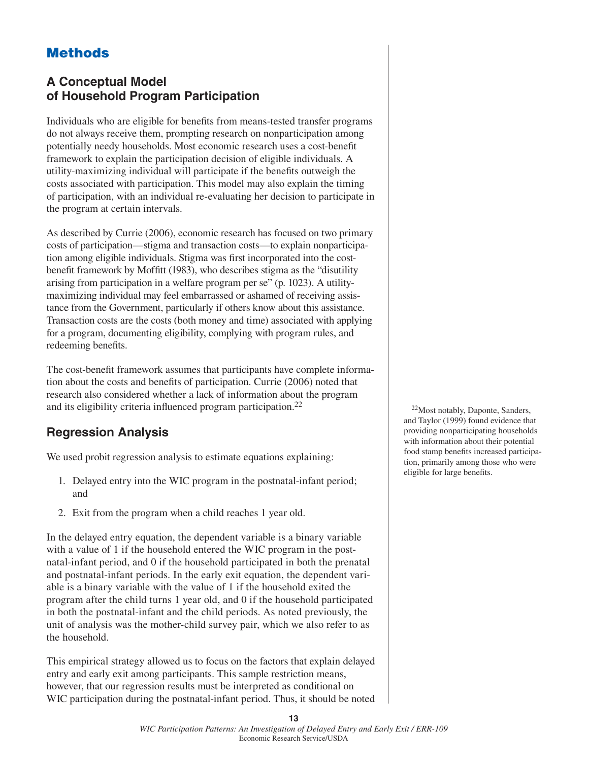# **Methods**

#### **A Conceptual Model of Household Program Participation**

Individuals who are eligible for benefits from means-tested transfer programs do not always receive them, prompting research on nonparticipation among potentially needy households. Most economic research uses a cost-benefit framework to explain the participation decision of eligible individuals. A utility-maximizing individual will participate if the benefits outweigh the costs associated with participation. This model may also explain the timing of participation, with an individual re-evaluating her decision to participate in the program at certain intervals.

As described by Currie (2006), economic research has focused on two primary costs of participation—stigma and transaction costs—to explain nonparticipation among eligible individuals. Stigma was first incorporated into the costbenefit framework by Moffitt (1983), who describes stigma as the "disutility arising from participation in a welfare program per se" (p. 1023). A utilitymaximizing individual may feel embarrassed or ashamed of receiving assistance from the Government, particularly if others know about this assistance. Transaction costs are the costs (both money and time) associated with applying for a program, documenting eligibility, complying with program rules, and redeeming benefits.

The cost-benefit framework assumes that participants have complete information about the costs and benefits of participation. Currie (2006) noted that research also considered whether a lack of information about the program and its eligibility criteria influenced program participation. $^{22}$ 

# **Regression Analysis**

We used probit regression analysis to estimate equations explaining:

- 1. Delayed entry into the WIC program in the postnatal-infant period; and
- 2. Exit from the program when a child reaches 1 year old.

In the delayed entry equation, the dependent variable is a binary variable with a value of 1 if the household entered the WIC program in the postnatal-infant period, and 0 if the household participated in both the prenatal and postnatal-infant periods. In the early exit equation, the dependent variable is a binary variable with the value of 1 if the household exited the program after the child turns 1 year old, and 0 if the household participated in both the postnatal-infant and the child periods. As noted previously, the unit of analysis was the mother-child survey pair, which we also refer to as the household.

This empirical strategy allowed us to focus on the factors that explain delayed entry and early exit among participants. This sample restriction means, however, that our regression results must be interpreted as conditional on WIC participation during the postnatal-infant period. Thus, it should be noted

22Most notably, Daponte, Sanders, and Taylor (1999) found evidence that providing nonparticipating households with information about their potential food stamp benefits increased participation, primarily among those who were eligible for large benefits.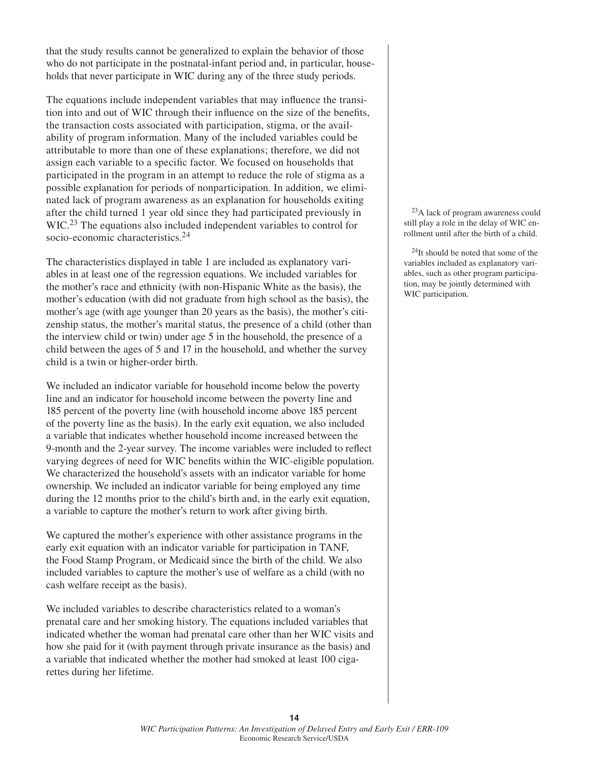that the study results cannot be generalized to explain the behavior of those who do not participate in the postnatal-infant period and, in particular, households that never participate in WIC during any of the three study periods.

The equations include independent variables that may influence the transition into and out of WIC through their influence on the size of the benefits, the transaction costs associated with participation, stigma, or the availability of program information. Many of the included variables could be attributable to more than one of these explanations; therefore, we did not assign each variable to a specific factor. We focused on households that participated in the program in an attempt to reduce the role of stigma as a possible explanation for periods of nonparticipation. In addition, we eliminated lack of program awareness as an explanation for households exiting after the child turned 1 year old since they had participated previously in WIC.<sup>23</sup> The equations also included independent variables to control for socio-economic characteristics.<sup>24</sup>

The characteristics displayed in table 1 are included as explanatory variables in at least one of the regression equations. We included variables for the mother's race and ethnicity (with non-Hispanic White as the basis), the mother's education (with did not graduate from high school as the basis), the mother's age (with age younger than 20 years as the basis), the mother's citizenship status, the mother's marital status, the presence of a child (other than the interview child or twin) under age 5 in the household, the presence of a child between the ages of 5 and 17 in the household, and whether the survey child is a twin or higher-order birth.

We included an indicator variable for household income below the poverty line and an indicator for household income between the poverty line and 185 percent of the poverty line (with household income above 185 percent of the poverty line as the basis). In the early exit equation, we also included a variable that indicates whether household income increased between the 9-month and the 2-year survey. The income variables were included to reflect varying degrees of need for WIC benefits within the WIC-eligible population. We characterized the household's assets with an indicator variable for home ownership. We included an indicator variable for being employed any time during the 12 months prior to the child's birth and, in the early exit equation, a variable to capture the mother's return to work after giving birth.

We captured the mother's experience with other assistance programs in the early exit equation with an indicator variable for participation in TANF, the Food Stamp Program, or Medicaid since the birth of the child. We also included variables to capture the mother's use of welfare as a child (with no cash welfare receipt as the basis).

We included variables to describe characteristics related to a woman's prenatal care and her smoking history. The equations included variables that indicated whether the woman had prenatal care other than her WIC visits and how she paid for it (with payment through private insurance as the basis) and a variable that indicated whether the mother had smoked at least 100 cigarettes during her lifetime.

23A lack of program awareness could still play a role in the delay of WIC enrollment until after the birth of a child.

 $^{24}$ It should be noted that some of the variables included as explanatory variables, such as other program participation, may be jointly determined with WIC participation.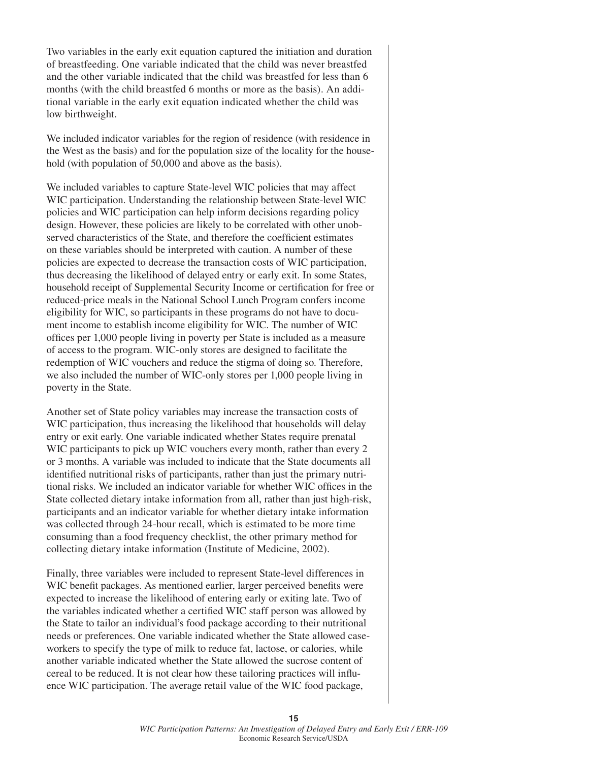Two variables in the early exit equation captured the initiation and duration of breastfeeding. One variable indicated that the child was never breastfed and the other variable indicated that the child was breastfed for less than 6 months (with the child breastfed 6 months or more as the basis). An additional variable in the early exit equation indicated whether the child was low birthweight.

We included indicator variables for the region of residence (with residence in the West as the basis) and for the population size of the locality for the household (with population of 50,000 and above as the basis).

We included variables to capture State-level WIC policies that may affect WIC participation. Understanding the relationship between State-level WIC policies and WIC participation can help inform decisions regarding policy design. However, these policies are likely to be correlated with other unobserved characteristics of the State, and therefore the coefficient estimates on these variables should be interpreted with caution. A number of these policies are expected to decrease the transaction costs of WIC participation, thus decreasing the likelihood of delayed entry or early exit. In some States, household receipt of Supplemental Security Income or certification for free or reduced-price meals in the National School Lunch Program confers income eligibility for WIC, so participants in these programs do not have to document income to establish income eligibility for WIC. The number of WIC offices per 1,000 people living in poverty per State is included as a measure of access to the program. WIC-only stores are designed to facilitate the redemption of WIC vouchers and reduce the stigma of doing so. Therefore, we also included the number of WIC-only stores per 1,000 people living in poverty in the State.

Another set of State policy variables may increase the transaction costs of WIC participation, thus increasing the likelihood that households will delay entry or exit early. One variable indicated whether States require prenatal WIC participants to pick up WIC vouchers every month, rather than every 2 or 3 months. A variable was included to indicate that the State documents all identified nutritional risks of participants, rather than just the primary nutritional risks. We included an indicator variable for whether WIC offices in the State collected dietary intake information from all, rather than just high-risk, participants and an indicator variable for whether dietary intake information was collected through 24-hour recall, which is estimated to be more time consuming than a food frequency checklist, the other primary method for collecting dietary intake information (Institute of Medicine, 2002).

Finally, three variables were included to represent State-level differences in WIC benefit packages. As mentioned earlier, larger perceived benefits were expected to increase the likelihood of entering early or exiting late. Two of the variables indicated whether a certified WIC staff person was allowed by the State to tailor an individual's food package according to their nutritional needs or preferences. One variable indicated whether the State allowed caseworkers to specify the type of milk to reduce fat, lactose, or calories, while another variable indicated whether the State allowed the sucrose content of cereal to be reduced. It is not clear how these tailoring practices will influence WIC participation. The average retail value of the WIC food package,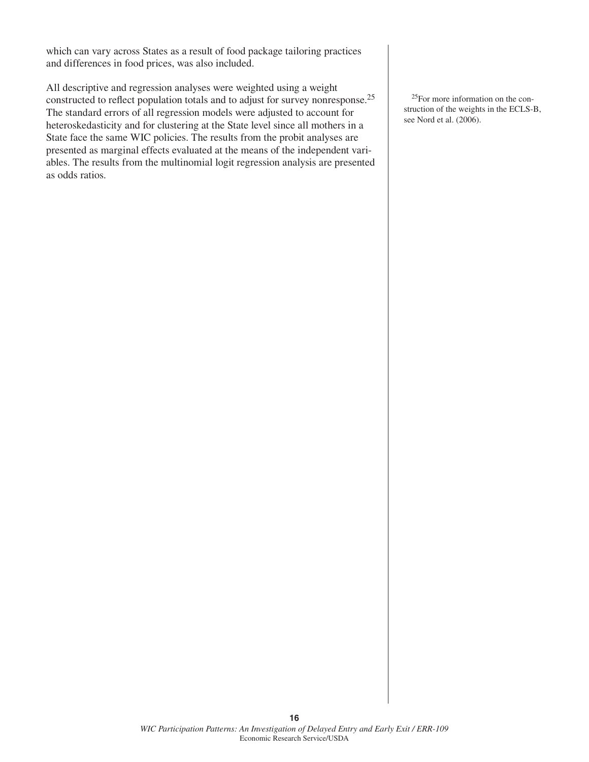which can vary across States as a result of food package tailoring practices and differences in food prices, was also included.

All descriptive and regression analyses were weighted using a weight constructed to reflect population totals and to adjust for survey nonresponse.<sup>25</sup> The standard errors of all regression models were adjusted to account for heteroskedasticity and for clustering at the State level since all mothers in a State face the same WIC policies. The results from the probit analyses are presented as marginal effects evaluated at the means of the independent variables. The results from the multinomial logit regression analysis are presented as odds ratios.

25For more information on the construction of the weights in the ECLS-B, see Nord et al. (2006).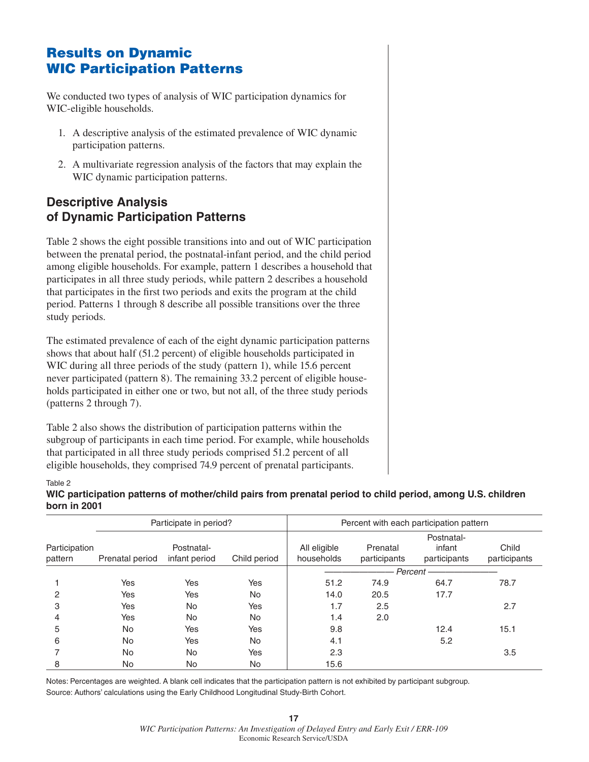# **Results on Dynamic WIC Participation Patterns**

We conducted two types of analysis of WIC participation dynamics for WIC-eligible households.

- 1. A descriptive analysis of the estimated prevalence of WIC dynamic participation patterns.
- 2. A multivariate regression analysis of the factors that may explain the WIC dynamic participation patterns.

#### **Descriptive Analysis of Dynamic Participation Patterns**

Table 2 shows the eight possible transitions into and out of WIC participation between the prenatal period, the postnatal-infant period, and the child period among eligible households. For example, pattern 1 describes a household that participates in all three study periods, while pattern 2 describes a household that participates in the first two periods and exits the program at the child period. Patterns 1 through 8 describe all possible transitions over the three study periods.

The estimated prevalence of each of the eight dynamic participation patterns shows that about half (51.2 percent) of eligible households participated in WIC during all three periods of the study (pattern 1), while 15.6 percent never participated (pattern 8). The remaining 33.2 percent of eligible households participated in either one or two, but not all, of the three study periods (patterns 2 through 7).

Table 2 also shows the distribution of participation patterns within the subgroup of participants in each time period. For example, while households that participated in all three study periods comprised 51.2 percent of all eligible households, they comprised 74.9 percent of prenatal participants.

#### Table 2

**WIC participation patterns of mother/child pairs from prenatal period to child period, among U.S. children born in 2001**

|                          | Participate in period? |                             |              |                            |                          | Percent with each participation pattern |                       |
|--------------------------|------------------------|-----------------------------|--------------|----------------------------|--------------------------|-----------------------------------------|-----------------------|
| Participation<br>pattern | Prenatal period        | Postnatal-<br>infant period | Child period | All eligible<br>households | Prenatal<br>participants | Postnatal-<br>infant<br>participants    | Child<br>participants |
|                          |                        |                             |              | Percent -                  |                          |                                         |                       |
|                          | Yes                    | Yes                         | Yes          | 51.2                       | 74.9                     | 64.7                                    | 78.7                  |
| 2                        | Yes                    | Yes                         | <b>No</b>    | 14.0                       | 20.5                     | 17.7                                    |                       |
| 3                        | Yes                    | <b>No</b>                   | Yes          | 1.7                        | 2.5                      |                                         | 2.7                   |
|                          | Yes                    | <b>No</b>                   | <b>No</b>    | 1.4                        | 2.0                      |                                         |                       |
| 5                        | No                     | Yes                         | Yes          | 9.8                        |                          | 12.4                                    | 15.1                  |
| 6                        | No                     | Yes                         | <b>No</b>    | 4.1                        |                          | 5.2                                     |                       |
|                          | No                     | <b>No</b>                   | Yes          | 2.3                        |                          |                                         | 3.5                   |
| 8                        | No.                    | <b>No</b>                   | <b>No</b>    | 15.6                       |                          |                                         |                       |

Notes: Percentages are weighted. A blank cell indicates that the participation pattern is not exhibited by participant subgroup. Source: Authors' calculations using the Early Childhood Longitudinal Study-Birth Cohort.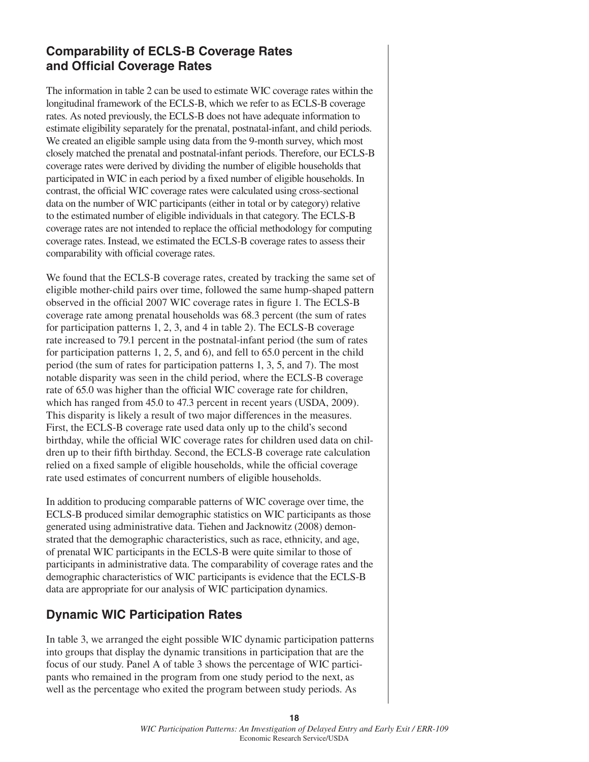#### **Comparability of ECLS-B Coverage Rates and Official Coverage Rates**

The information in table 2 can be used to estimate WIC coverage rates within the longitudinal framework of the ECLS-B, which we refer to as ECLS-B coverage rates. As noted previously, the ECLS-B does not have adequate information to estimate eligibility separately for the prenatal, postnatal-infant, and child periods. We created an eligible sample using data from the 9-month survey, which most closely matched the prenatal and postnatal-infant periods. Therefore, our ECLS-B coverage rates were derived by dividing the number of eligible households that participated in WIC in each period by a fixed number of eligible households. In contrast, the official WIC coverage rates were calculated using cross-sectional data on the number of WIC participants (either in total or by category) relative to the estimated number of eligible individuals in that category. The ECLS-B coverage rates are not intended to replace the official methodology for computing coverage rates. Instead, we estimated the ECLS-B coverage rates to assess their comparability with official coverage rates.

We found that the ECLS-B coverage rates, created by tracking the same set of eligible mother-child pairs over time, followed the same hump-shaped pattern observed in the official 2007 WIC coverage rates in figure 1. The ECLS-B coverage rate among prenatal households was 68.3 percent (the sum of rates for participation patterns 1, 2, 3, and 4 in table 2). The ECLS-B coverage rate increased to 79.1 percent in the postnatal-infant period (the sum of rates for participation patterns 1, 2, 5, and 6), and fell to 65.0 percent in the child period (the sum of rates for participation patterns 1, 3, 5, and 7). The most notable disparity was seen in the child period, where the ECLS-B coverage rate of 65.0 was higher than the official WIC coverage rate for children, which has ranged from 45.0 to 47.3 percent in recent years (USDA, 2009). This disparity is likely a result of two major differences in the measures. First, the ECLS-B coverage rate used data only up to the child's second birthday, while the official WIC coverage rates for children used data on children up to their fifth birthday. Second, the ECLS-B coverage rate calculation relied on a fixed sample of eligible households, while the official coverage rate used estimates of concurrent numbers of eligible households.

In addition to producing comparable patterns of WIC coverage over time, the ECLS-B produced similar demographic statistics on WIC participants as those generated using administrative data. Tiehen and Jacknowitz (2008) demonstrated that the demographic characteristics, such as race, ethnicity, and age, of prenatal WIC participants in the ECLS-B were quite similar to those of participants in administrative data. The comparability of coverage rates and the demographic characteristics of WIC participants is evidence that the ECLS-B data are appropriate for our analysis of WIC participation dynamics.

# **Dynamic WIC Participation Rates**

In table 3, we arranged the eight possible WIC dynamic participation patterns into groups that display the dynamic transitions in participation that are the focus of our study. Panel A of table 3 shows the percentage of WIC participants who remained in the program from one study period to the next, as well as the percentage who exited the program between study periods. As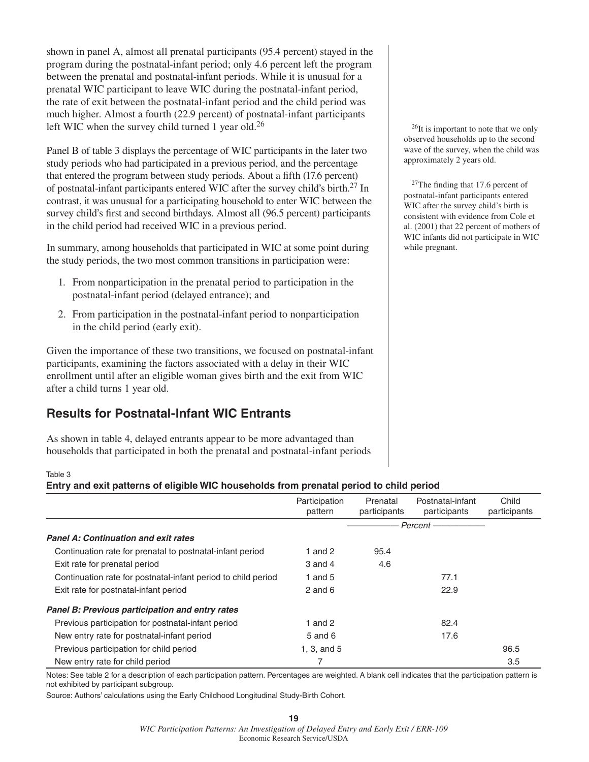shown in panel A, almost all prenatal participants (95.4 percent) stayed in the program during the postnatal-infant period; only 4.6 percent left the program between the prenatal and postnatal-infant periods. While it is unusual for a prenatal WIC participant to leave WIC during the postnatal-infant period, the rate of exit between the postnatal-infant period and the child period was much higher. Almost a fourth (22.9 percent) of postnatal-infant participants left WIC when the survey child turned 1 year old.<sup>26</sup>

Panel B of table 3 displays the percentage of WIC participants in the later two study periods who had participated in a previous period, and the percentage that entered the program between study periods. About a fifth (17.6 percent) of postnatal-infant participants entered WIC after the survey child's birth.27 In contrast, it was unusual for a participating household to enter WIC between the survey child's first and second birthdays. Almost all (96.5 percent) participants in the child period had received WIC in a previous period.

In summary, among households that participated in WIC at some point during the study periods, the two most common transitions in participation were:

- 1. From nonparticipation in the prenatal period to participation in the postnatal-infant period (delayed entrance); and
- 2. From participation in the postnatal-infant period to nonparticipation in the child period (early exit).

Given the importance of these two transitions, we focused on postnatal-infant participants, examining the factors associated with a delay in their WIC enrollment until after an eligible woman gives birth and the exit from WIC after a child turns 1 year old.

# **Results for Postnatal-Infant WIC Entrants**

As shown in table 4, delayed entrants appear to be more advantaged than households that participated in both the prenatal and postnatal-infant periods

26It is important to note that we only observed households up to the second wave of the survey, when the child was approximately 2 years old.

 $27$ The finding that 17.6 percent of postnatal-infant participants entered WIC after the survey child's birth is consistent with evidence from Cole et al. (2001) that 22 percent of mothers of WIC infants did not participate in WIC while pregnant.

#### Table 3

#### **Entry and exit patterns of eligible WIC households from prenatal period to child period**

|                                                               | Participation<br>pattern | Prenatal<br>participants | Postnatal-infant<br>participants | Child<br>participants |
|---------------------------------------------------------------|--------------------------|--------------------------|----------------------------------|-----------------------|
|                                                               |                          |                          | Percent-                         |                       |
| <b>Panel A: Continuation and exit rates</b>                   |                          |                          |                                  |                       |
| Continuation rate for prenatal to postnatal-infant period     | 1 and 2                  | 95.4                     |                                  |                       |
| Exit rate for prenatal period                                 | $3$ and $4$              | 4.6                      |                                  |                       |
| Continuation rate for postnatal-infant period to child period | 1 and $5$                |                          | 77.1                             |                       |
| Exit rate for postnatal-infant period                         | $2$ and $6$              |                          | 22.9                             |                       |
| <b>Panel B: Previous participation and entry rates</b>        |                          |                          |                                  |                       |
| Previous participation for postnatal-infant period            | 1 and $2$                |                          | 82.4                             |                       |
| New entry rate for postnatal-infant period                    | 5 and 6                  |                          | 17.6                             |                       |
| Previous participation for child period                       | 1, 3, and $5$            |                          |                                  | 96.5                  |
| New entry rate for child period                               | 7                        |                          |                                  | 3.5                   |

Notes: See table 2 for a description of each participation pattern. Percentages are weighted. A blank cell indicates that the participation pattern is not exhibited by participant subgroup.

Source: Authors' calculations using the Early Childhood Longitudinal Study-Birth Cohort.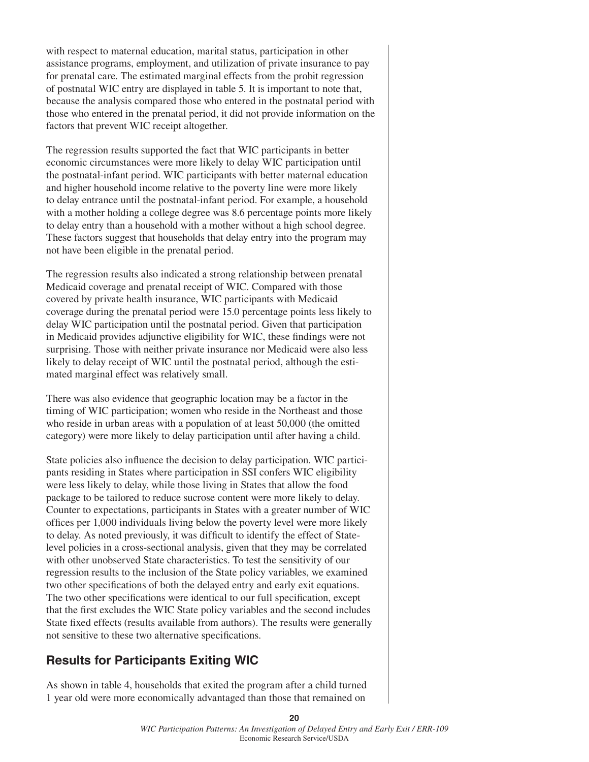with respect to maternal education, marital status, participation in other assistance programs, employment, and utilization of private insurance to pay for prenatal care. The estimated marginal effects from the probit regression of postnatal WIC entry are displayed in table 5. It is important to note that, because the analysis compared those who entered in the postnatal period with those who entered in the prenatal period, it did not provide information on the factors that prevent WIC receipt altogether.

The regression results supported the fact that WIC participants in better economic circumstances were more likely to delay WIC participation until the postnatal-infant period. WIC participants with better maternal education and higher household income relative to the poverty line were more likely to delay entrance until the postnatal-infant period. For example, a household with a mother holding a college degree was 8.6 percentage points more likely to delay entry than a household with a mother without a high school degree. These factors suggest that households that delay entry into the program may not have been eligible in the prenatal period.

The regression results also indicated a strong relationship between prenatal Medicaid coverage and prenatal receipt of WIC. Compared with those covered by private health insurance, WIC participants with Medicaid coverage during the prenatal period were 15.0 percentage points less likely to delay WIC participation until the postnatal period. Given that participation in Medicaid provides adjunctive eligibility for WIC, these findings were not surprising. Those with neither private insurance nor Medicaid were also less likely to delay receipt of WIC until the postnatal period, although the estimated marginal effect was relatively small.

There was also evidence that geographic location may be a factor in the timing of WIC participation; women who reside in the Northeast and those who reside in urban areas with a population of at least 50,000 (the omitted category) were more likely to delay participation until after having a child.

State policies also influence the decision to delay participation. WIC participants residing in States where participation in SSI confers WIC eligibility were less likely to delay, while those living in States that allow the food package to be tailored to reduce sucrose content were more likely to delay. Counter to expectations, participants in States with a greater number of WIC offices per 1,000 individuals living below the poverty level were more likely to delay. As noted previously, it was difficult to identify the effect of Statelevel policies in a cross-sectional analysis, given that they may be correlated with other unobserved State characteristics. To test the sensitivity of our regression results to the inclusion of the State policy variables, we examined two other specifications of both the delayed entry and early exit equations. The two other specifications were identical to our full specification, except that the first excludes the WIC State policy variables and the second includes State fixed effects (results available from authors). The results were generally not sensitive to these two alternative specifications.

#### **Results for Participants Exiting WIC**

As shown in table 4, households that exited the program after a child turned 1 year old were more economically advantaged than those that remained on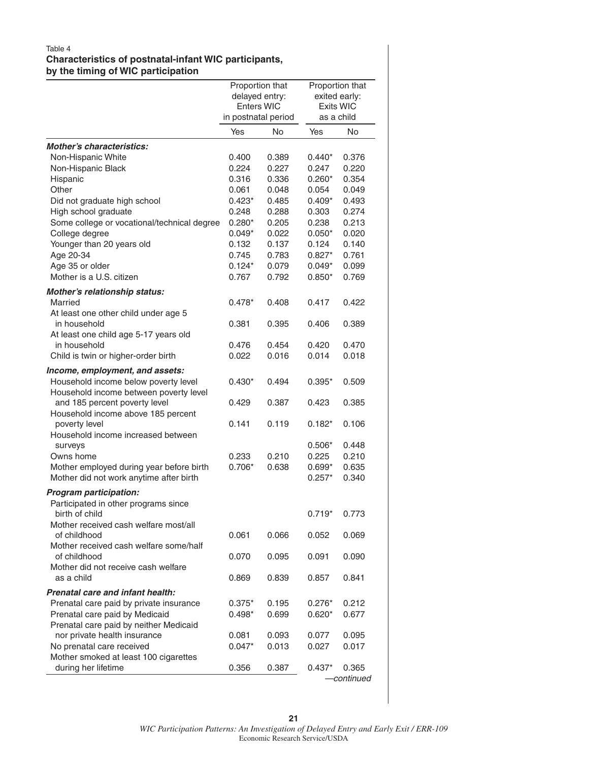#### Table 4 **Characteristics of postnatal-infant WIC participants, by the timing of WIC participation**

| Enters WIC<br><b>Exits WIC</b><br>in postnatal period<br>as a child<br>Yes<br><b>No</b><br>Yes<br><b>No</b><br>Non-Hispanic White<br>0.400<br>0.389<br>$0.440*$<br>0.376<br>Non-Hispanic Black<br>0.224<br>0.227<br>0.220<br>0.247<br>Hispanic<br>0.336<br>0.354<br>0.316<br>$0.260*$<br>Other<br>0.061<br>0.049<br>0.048<br>0.054<br>$0.423*$<br>0.493<br>Did not graduate high school<br>0.485<br>$0.409*$<br>High school graduate<br>0.248<br>0.288<br>0.274<br>0.303<br>Some college or vocational/technical degree<br>0.213<br>$0.280*$<br>0.205<br>0.238<br>College degree<br>$0.049*$<br>0.022<br>$0.050*$<br>0.020<br>Younger than 20 years old<br>0.137<br>0.140<br>0.132<br>0.124<br>Age 20-34<br>0.745<br>0.783<br>$0.827*$<br>0.761<br>Age 35 or older<br>$0.124*$<br>0.079<br>0.099<br>$0.049*$<br>Mother is a U.S. citizen<br>0.767<br>0.792<br>0.769<br>$0.850*$<br>Mother's relationship status:<br>Married<br>$0.478*$<br>0.408<br>0.417<br>0.422<br>At least one other child under age 5<br>in household<br>0.381<br>0.395<br>0.406<br>0.389<br>At least one child age 5-17 years old<br>in household<br>0.476<br>0.454<br>0.420<br>0.470<br>0.022<br>0.016<br>0.018<br>Child is twin or higher-order birth<br>0.014<br>Household income below poverty level<br>0.494<br>$0.395*$<br>0.509<br>$0.430*$<br>Household income between poverty level<br>and 185 percent poverty level<br>0.429<br>0.387<br>0.423<br>0.385<br>Household income above 185 percent<br>poverty level<br>0.141<br>0.119<br>0.106<br>$0.182*$<br>Household income increased between<br>$0.506*$<br>0.448<br>surveys<br>0.210<br>0.210<br>Owns home<br>0.233<br>0.225<br>$0.706*$<br>0.635<br>Mother employed during year before birth<br>0.638<br>$0.699*$<br>Mother did not work anytime after birth<br>0.340<br>$0.257*$<br><b>Program participation:</b><br>Participated in other programs since<br>birth of child<br>$0.719*$<br>0.773<br>Mother received cash welfare most/all<br>of childhood<br>0.069<br>0.061<br>0.066<br>0.052<br>Mother received cash welfare some/half<br>of childhood<br>0.070<br>0.095<br>0.091<br>0.090<br>Mother did not receive cash welfare<br>as a child<br>0.839<br>0.857<br>0.841<br>0.869<br><b>Prenatal care and infant health:</b><br>Prenatal care paid by private insurance<br>0.212<br>$0.375*$<br>0.195<br>$0.276*$<br>Prenatal care paid by Medicaid<br>0.677<br>$0.498*$<br>0.699<br>$0.620*$<br>Prenatal care paid by neither Medicaid<br>nor private health insurance<br>0.081<br>0.093<br>0.077<br>0.095<br>No prenatal care received<br>$0.047*$<br>0.013<br>0.017<br>0.027<br>Mother smoked at least 100 cigarettes |                                  | Proportion that<br>delayed entry: |  | Proportion that<br>exited early: |  |
|---------------------------------------------------------------------------------------------------------------------------------------------------------------------------------------------------------------------------------------------------------------------------------------------------------------------------------------------------------------------------------------------------------------------------------------------------------------------------------------------------------------------------------------------------------------------------------------------------------------------------------------------------------------------------------------------------------------------------------------------------------------------------------------------------------------------------------------------------------------------------------------------------------------------------------------------------------------------------------------------------------------------------------------------------------------------------------------------------------------------------------------------------------------------------------------------------------------------------------------------------------------------------------------------------------------------------------------------------------------------------------------------------------------------------------------------------------------------------------------------------------------------------------------------------------------------------------------------------------------------------------------------------------------------------------------------------------------------------------------------------------------------------------------------------------------------------------------------------------------------------------------------------------------------------------------------------------------------------------------------------------------------------------------------------------------------------------------------------------------------------------------------------------------------------------------------------------------------------------------------------------------------------------------------------------------------------------------------------------------------------------------------------------------------------------------------------------------------------------------------------------------------------------------------------------------------------------------------------------------------------------------------------------------|----------------------------------|-----------------------------------|--|----------------------------------|--|
|                                                                                                                                                                                                                                                                                                                                                                                                                                                                                                                                                                                                                                                                                                                                                                                                                                                                                                                                                                                                                                                                                                                                                                                                                                                                                                                                                                                                                                                                                                                                                                                                                                                                                                                                                                                                                                                                                                                                                                                                                                                                                                                                                                                                                                                                                                                                                                                                                                                                                                                                                                                                                                                               |                                  |                                   |  |                                  |  |
|                                                                                                                                                                                                                                                                                                                                                                                                                                                                                                                                                                                                                                                                                                                                                                                                                                                                                                                                                                                                                                                                                                                                                                                                                                                                                                                                                                                                                                                                                                                                                                                                                                                                                                                                                                                                                                                                                                                                                                                                                                                                                                                                                                                                                                                                                                                                                                                                                                                                                                                                                                                                                                                               |                                  |                                   |  |                                  |  |
|                                                                                                                                                                                                                                                                                                                                                                                                                                                                                                                                                                                                                                                                                                                                                                                                                                                                                                                                                                                                                                                                                                                                                                                                                                                                                                                                                                                                                                                                                                                                                                                                                                                                                                                                                                                                                                                                                                                                                                                                                                                                                                                                                                                                                                                                                                                                                                                                                                                                                                                                                                                                                                                               |                                  |                                   |  |                                  |  |
|                                                                                                                                                                                                                                                                                                                                                                                                                                                                                                                                                                                                                                                                                                                                                                                                                                                                                                                                                                                                                                                                                                                                                                                                                                                                                                                                                                                                                                                                                                                                                                                                                                                                                                                                                                                                                                                                                                                                                                                                                                                                                                                                                                                                                                                                                                                                                                                                                                                                                                                                                                                                                                                               | <b>Mother's characteristics:</b> |                                   |  |                                  |  |
|                                                                                                                                                                                                                                                                                                                                                                                                                                                                                                                                                                                                                                                                                                                                                                                                                                                                                                                                                                                                                                                                                                                                                                                                                                                                                                                                                                                                                                                                                                                                                                                                                                                                                                                                                                                                                                                                                                                                                                                                                                                                                                                                                                                                                                                                                                                                                                                                                                                                                                                                                                                                                                                               |                                  |                                   |  |                                  |  |
|                                                                                                                                                                                                                                                                                                                                                                                                                                                                                                                                                                                                                                                                                                                                                                                                                                                                                                                                                                                                                                                                                                                                                                                                                                                                                                                                                                                                                                                                                                                                                                                                                                                                                                                                                                                                                                                                                                                                                                                                                                                                                                                                                                                                                                                                                                                                                                                                                                                                                                                                                                                                                                                               |                                  |                                   |  |                                  |  |
|                                                                                                                                                                                                                                                                                                                                                                                                                                                                                                                                                                                                                                                                                                                                                                                                                                                                                                                                                                                                                                                                                                                                                                                                                                                                                                                                                                                                                                                                                                                                                                                                                                                                                                                                                                                                                                                                                                                                                                                                                                                                                                                                                                                                                                                                                                                                                                                                                                                                                                                                                                                                                                                               |                                  |                                   |  |                                  |  |
|                                                                                                                                                                                                                                                                                                                                                                                                                                                                                                                                                                                                                                                                                                                                                                                                                                                                                                                                                                                                                                                                                                                                                                                                                                                                                                                                                                                                                                                                                                                                                                                                                                                                                                                                                                                                                                                                                                                                                                                                                                                                                                                                                                                                                                                                                                                                                                                                                                                                                                                                                                                                                                                               |                                  |                                   |  |                                  |  |
|                                                                                                                                                                                                                                                                                                                                                                                                                                                                                                                                                                                                                                                                                                                                                                                                                                                                                                                                                                                                                                                                                                                                                                                                                                                                                                                                                                                                                                                                                                                                                                                                                                                                                                                                                                                                                                                                                                                                                                                                                                                                                                                                                                                                                                                                                                                                                                                                                                                                                                                                                                                                                                                               |                                  |                                   |  |                                  |  |
|                                                                                                                                                                                                                                                                                                                                                                                                                                                                                                                                                                                                                                                                                                                                                                                                                                                                                                                                                                                                                                                                                                                                                                                                                                                                                                                                                                                                                                                                                                                                                                                                                                                                                                                                                                                                                                                                                                                                                                                                                                                                                                                                                                                                                                                                                                                                                                                                                                                                                                                                                                                                                                                               |                                  |                                   |  |                                  |  |
|                                                                                                                                                                                                                                                                                                                                                                                                                                                                                                                                                                                                                                                                                                                                                                                                                                                                                                                                                                                                                                                                                                                                                                                                                                                                                                                                                                                                                                                                                                                                                                                                                                                                                                                                                                                                                                                                                                                                                                                                                                                                                                                                                                                                                                                                                                                                                                                                                                                                                                                                                                                                                                                               |                                  |                                   |  |                                  |  |
|                                                                                                                                                                                                                                                                                                                                                                                                                                                                                                                                                                                                                                                                                                                                                                                                                                                                                                                                                                                                                                                                                                                                                                                                                                                                                                                                                                                                                                                                                                                                                                                                                                                                                                                                                                                                                                                                                                                                                                                                                                                                                                                                                                                                                                                                                                                                                                                                                                                                                                                                                                                                                                                               |                                  |                                   |  |                                  |  |
|                                                                                                                                                                                                                                                                                                                                                                                                                                                                                                                                                                                                                                                                                                                                                                                                                                                                                                                                                                                                                                                                                                                                                                                                                                                                                                                                                                                                                                                                                                                                                                                                                                                                                                                                                                                                                                                                                                                                                                                                                                                                                                                                                                                                                                                                                                                                                                                                                                                                                                                                                                                                                                                               |                                  |                                   |  |                                  |  |
|                                                                                                                                                                                                                                                                                                                                                                                                                                                                                                                                                                                                                                                                                                                                                                                                                                                                                                                                                                                                                                                                                                                                                                                                                                                                                                                                                                                                                                                                                                                                                                                                                                                                                                                                                                                                                                                                                                                                                                                                                                                                                                                                                                                                                                                                                                                                                                                                                                                                                                                                                                                                                                                               |                                  |                                   |  |                                  |  |
|                                                                                                                                                                                                                                                                                                                                                                                                                                                                                                                                                                                                                                                                                                                                                                                                                                                                                                                                                                                                                                                                                                                                                                                                                                                                                                                                                                                                                                                                                                                                                                                                                                                                                                                                                                                                                                                                                                                                                                                                                                                                                                                                                                                                                                                                                                                                                                                                                                                                                                                                                                                                                                                               |                                  |                                   |  |                                  |  |
|                                                                                                                                                                                                                                                                                                                                                                                                                                                                                                                                                                                                                                                                                                                                                                                                                                                                                                                                                                                                                                                                                                                                                                                                                                                                                                                                                                                                                                                                                                                                                                                                                                                                                                                                                                                                                                                                                                                                                                                                                                                                                                                                                                                                                                                                                                                                                                                                                                                                                                                                                                                                                                                               |                                  |                                   |  |                                  |  |
|                                                                                                                                                                                                                                                                                                                                                                                                                                                                                                                                                                                                                                                                                                                                                                                                                                                                                                                                                                                                                                                                                                                                                                                                                                                                                                                                                                                                                                                                                                                                                                                                                                                                                                                                                                                                                                                                                                                                                                                                                                                                                                                                                                                                                                                                                                                                                                                                                                                                                                                                                                                                                                                               |                                  |                                   |  |                                  |  |
|                                                                                                                                                                                                                                                                                                                                                                                                                                                                                                                                                                                                                                                                                                                                                                                                                                                                                                                                                                                                                                                                                                                                                                                                                                                                                                                                                                                                                                                                                                                                                                                                                                                                                                                                                                                                                                                                                                                                                                                                                                                                                                                                                                                                                                                                                                                                                                                                                                                                                                                                                                                                                                                               |                                  |                                   |  |                                  |  |
|                                                                                                                                                                                                                                                                                                                                                                                                                                                                                                                                                                                                                                                                                                                                                                                                                                                                                                                                                                                                                                                                                                                                                                                                                                                                                                                                                                                                                                                                                                                                                                                                                                                                                                                                                                                                                                                                                                                                                                                                                                                                                                                                                                                                                                                                                                                                                                                                                                                                                                                                                                                                                                                               |                                  |                                   |  |                                  |  |
|                                                                                                                                                                                                                                                                                                                                                                                                                                                                                                                                                                                                                                                                                                                                                                                                                                                                                                                                                                                                                                                                                                                                                                                                                                                                                                                                                                                                                                                                                                                                                                                                                                                                                                                                                                                                                                                                                                                                                                                                                                                                                                                                                                                                                                                                                                                                                                                                                                                                                                                                                                                                                                                               |                                  |                                   |  |                                  |  |
|                                                                                                                                                                                                                                                                                                                                                                                                                                                                                                                                                                                                                                                                                                                                                                                                                                                                                                                                                                                                                                                                                                                                                                                                                                                                                                                                                                                                                                                                                                                                                                                                                                                                                                                                                                                                                                                                                                                                                                                                                                                                                                                                                                                                                                                                                                                                                                                                                                                                                                                                                                                                                                                               |                                  |                                   |  |                                  |  |
|                                                                                                                                                                                                                                                                                                                                                                                                                                                                                                                                                                                                                                                                                                                                                                                                                                                                                                                                                                                                                                                                                                                                                                                                                                                                                                                                                                                                                                                                                                                                                                                                                                                                                                                                                                                                                                                                                                                                                                                                                                                                                                                                                                                                                                                                                                                                                                                                                                                                                                                                                                                                                                                               |                                  |                                   |  |                                  |  |
|                                                                                                                                                                                                                                                                                                                                                                                                                                                                                                                                                                                                                                                                                                                                                                                                                                                                                                                                                                                                                                                                                                                                                                                                                                                                                                                                                                                                                                                                                                                                                                                                                                                                                                                                                                                                                                                                                                                                                                                                                                                                                                                                                                                                                                                                                                                                                                                                                                                                                                                                                                                                                                                               |                                  |                                   |  |                                  |  |
|                                                                                                                                                                                                                                                                                                                                                                                                                                                                                                                                                                                                                                                                                                                                                                                                                                                                                                                                                                                                                                                                                                                                                                                                                                                                                                                                                                                                                                                                                                                                                                                                                                                                                                                                                                                                                                                                                                                                                                                                                                                                                                                                                                                                                                                                                                                                                                                                                                                                                                                                                                                                                                                               |                                  |                                   |  |                                  |  |
|                                                                                                                                                                                                                                                                                                                                                                                                                                                                                                                                                                                                                                                                                                                                                                                                                                                                                                                                                                                                                                                                                                                                                                                                                                                                                                                                                                                                                                                                                                                                                                                                                                                                                                                                                                                                                                                                                                                                                                                                                                                                                                                                                                                                                                                                                                                                                                                                                                                                                                                                                                                                                                                               | Income, employment, and assets:  |                                   |  |                                  |  |
|                                                                                                                                                                                                                                                                                                                                                                                                                                                                                                                                                                                                                                                                                                                                                                                                                                                                                                                                                                                                                                                                                                                                                                                                                                                                                                                                                                                                                                                                                                                                                                                                                                                                                                                                                                                                                                                                                                                                                                                                                                                                                                                                                                                                                                                                                                                                                                                                                                                                                                                                                                                                                                                               |                                  |                                   |  |                                  |  |
|                                                                                                                                                                                                                                                                                                                                                                                                                                                                                                                                                                                                                                                                                                                                                                                                                                                                                                                                                                                                                                                                                                                                                                                                                                                                                                                                                                                                                                                                                                                                                                                                                                                                                                                                                                                                                                                                                                                                                                                                                                                                                                                                                                                                                                                                                                                                                                                                                                                                                                                                                                                                                                                               |                                  |                                   |  |                                  |  |
|                                                                                                                                                                                                                                                                                                                                                                                                                                                                                                                                                                                                                                                                                                                                                                                                                                                                                                                                                                                                                                                                                                                                                                                                                                                                                                                                                                                                                                                                                                                                                                                                                                                                                                                                                                                                                                                                                                                                                                                                                                                                                                                                                                                                                                                                                                                                                                                                                                                                                                                                                                                                                                                               |                                  |                                   |  |                                  |  |
|                                                                                                                                                                                                                                                                                                                                                                                                                                                                                                                                                                                                                                                                                                                                                                                                                                                                                                                                                                                                                                                                                                                                                                                                                                                                                                                                                                                                                                                                                                                                                                                                                                                                                                                                                                                                                                                                                                                                                                                                                                                                                                                                                                                                                                                                                                                                                                                                                                                                                                                                                                                                                                                               |                                  |                                   |  |                                  |  |
|                                                                                                                                                                                                                                                                                                                                                                                                                                                                                                                                                                                                                                                                                                                                                                                                                                                                                                                                                                                                                                                                                                                                                                                                                                                                                                                                                                                                                                                                                                                                                                                                                                                                                                                                                                                                                                                                                                                                                                                                                                                                                                                                                                                                                                                                                                                                                                                                                                                                                                                                                                                                                                                               |                                  |                                   |  |                                  |  |
|                                                                                                                                                                                                                                                                                                                                                                                                                                                                                                                                                                                                                                                                                                                                                                                                                                                                                                                                                                                                                                                                                                                                                                                                                                                                                                                                                                                                                                                                                                                                                                                                                                                                                                                                                                                                                                                                                                                                                                                                                                                                                                                                                                                                                                                                                                                                                                                                                                                                                                                                                                                                                                                               |                                  |                                   |  |                                  |  |
|                                                                                                                                                                                                                                                                                                                                                                                                                                                                                                                                                                                                                                                                                                                                                                                                                                                                                                                                                                                                                                                                                                                                                                                                                                                                                                                                                                                                                                                                                                                                                                                                                                                                                                                                                                                                                                                                                                                                                                                                                                                                                                                                                                                                                                                                                                                                                                                                                                                                                                                                                                                                                                                               |                                  |                                   |  |                                  |  |
|                                                                                                                                                                                                                                                                                                                                                                                                                                                                                                                                                                                                                                                                                                                                                                                                                                                                                                                                                                                                                                                                                                                                                                                                                                                                                                                                                                                                                                                                                                                                                                                                                                                                                                                                                                                                                                                                                                                                                                                                                                                                                                                                                                                                                                                                                                                                                                                                                                                                                                                                                                                                                                                               |                                  |                                   |  |                                  |  |
|                                                                                                                                                                                                                                                                                                                                                                                                                                                                                                                                                                                                                                                                                                                                                                                                                                                                                                                                                                                                                                                                                                                                                                                                                                                                                                                                                                                                                                                                                                                                                                                                                                                                                                                                                                                                                                                                                                                                                                                                                                                                                                                                                                                                                                                                                                                                                                                                                                                                                                                                                                                                                                                               |                                  |                                   |  |                                  |  |
|                                                                                                                                                                                                                                                                                                                                                                                                                                                                                                                                                                                                                                                                                                                                                                                                                                                                                                                                                                                                                                                                                                                                                                                                                                                                                                                                                                                                                                                                                                                                                                                                                                                                                                                                                                                                                                                                                                                                                                                                                                                                                                                                                                                                                                                                                                                                                                                                                                                                                                                                                                                                                                                               |                                  |                                   |  |                                  |  |
|                                                                                                                                                                                                                                                                                                                                                                                                                                                                                                                                                                                                                                                                                                                                                                                                                                                                                                                                                                                                                                                                                                                                                                                                                                                                                                                                                                                                                                                                                                                                                                                                                                                                                                                                                                                                                                                                                                                                                                                                                                                                                                                                                                                                                                                                                                                                                                                                                                                                                                                                                                                                                                                               |                                  |                                   |  |                                  |  |
|                                                                                                                                                                                                                                                                                                                                                                                                                                                                                                                                                                                                                                                                                                                                                                                                                                                                                                                                                                                                                                                                                                                                                                                                                                                                                                                                                                                                                                                                                                                                                                                                                                                                                                                                                                                                                                                                                                                                                                                                                                                                                                                                                                                                                                                                                                                                                                                                                                                                                                                                                                                                                                                               |                                  |                                   |  |                                  |  |
|                                                                                                                                                                                                                                                                                                                                                                                                                                                                                                                                                                                                                                                                                                                                                                                                                                                                                                                                                                                                                                                                                                                                                                                                                                                                                                                                                                                                                                                                                                                                                                                                                                                                                                                                                                                                                                                                                                                                                                                                                                                                                                                                                                                                                                                                                                                                                                                                                                                                                                                                                                                                                                                               |                                  |                                   |  |                                  |  |
|                                                                                                                                                                                                                                                                                                                                                                                                                                                                                                                                                                                                                                                                                                                                                                                                                                                                                                                                                                                                                                                                                                                                                                                                                                                                                                                                                                                                                                                                                                                                                                                                                                                                                                                                                                                                                                                                                                                                                                                                                                                                                                                                                                                                                                                                                                                                                                                                                                                                                                                                                                                                                                                               |                                  |                                   |  |                                  |  |
|                                                                                                                                                                                                                                                                                                                                                                                                                                                                                                                                                                                                                                                                                                                                                                                                                                                                                                                                                                                                                                                                                                                                                                                                                                                                                                                                                                                                                                                                                                                                                                                                                                                                                                                                                                                                                                                                                                                                                                                                                                                                                                                                                                                                                                                                                                                                                                                                                                                                                                                                                                                                                                                               |                                  |                                   |  |                                  |  |
|                                                                                                                                                                                                                                                                                                                                                                                                                                                                                                                                                                                                                                                                                                                                                                                                                                                                                                                                                                                                                                                                                                                                                                                                                                                                                                                                                                                                                                                                                                                                                                                                                                                                                                                                                                                                                                                                                                                                                                                                                                                                                                                                                                                                                                                                                                                                                                                                                                                                                                                                                                                                                                                               |                                  |                                   |  |                                  |  |
|                                                                                                                                                                                                                                                                                                                                                                                                                                                                                                                                                                                                                                                                                                                                                                                                                                                                                                                                                                                                                                                                                                                                                                                                                                                                                                                                                                                                                                                                                                                                                                                                                                                                                                                                                                                                                                                                                                                                                                                                                                                                                                                                                                                                                                                                                                                                                                                                                                                                                                                                                                                                                                                               |                                  |                                   |  |                                  |  |
|                                                                                                                                                                                                                                                                                                                                                                                                                                                                                                                                                                                                                                                                                                                                                                                                                                                                                                                                                                                                                                                                                                                                                                                                                                                                                                                                                                                                                                                                                                                                                                                                                                                                                                                                                                                                                                                                                                                                                                                                                                                                                                                                                                                                                                                                                                                                                                                                                                                                                                                                                                                                                                                               |                                  |                                   |  |                                  |  |
|                                                                                                                                                                                                                                                                                                                                                                                                                                                                                                                                                                                                                                                                                                                                                                                                                                                                                                                                                                                                                                                                                                                                                                                                                                                                                                                                                                                                                                                                                                                                                                                                                                                                                                                                                                                                                                                                                                                                                                                                                                                                                                                                                                                                                                                                                                                                                                                                                                                                                                                                                                                                                                                               |                                  |                                   |  |                                  |  |
|                                                                                                                                                                                                                                                                                                                                                                                                                                                                                                                                                                                                                                                                                                                                                                                                                                                                                                                                                                                                                                                                                                                                                                                                                                                                                                                                                                                                                                                                                                                                                                                                                                                                                                                                                                                                                                                                                                                                                                                                                                                                                                                                                                                                                                                                                                                                                                                                                                                                                                                                                                                                                                                               |                                  |                                   |  |                                  |  |
|                                                                                                                                                                                                                                                                                                                                                                                                                                                                                                                                                                                                                                                                                                                                                                                                                                                                                                                                                                                                                                                                                                                                                                                                                                                                                                                                                                                                                                                                                                                                                                                                                                                                                                                                                                                                                                                                                                                                                                                                                                                                                                                                                                                                                                                                                                                                                                                                                                                                                                                                                                                                                                                               |                                  |                                   |  |                                  |  |
|                                                                                                                                                                                                                                                                                                                                                                                                                                                                                                                                                                                                                                                                                                                                                                                                                                                                                                                                                                                                                                                                                                                                                                                                                                                                                                                                                                                                                                                                                                                                                                                                                                                                                                                                                                                                                                                                                                                                                                                                                                                                                                                                                                                                                                                                                                                                                                                                                                                                                                                                                                                                                                                               |                                  |                                   |  |                                  |  |
|                                                                                                                                                                                                                                                                                                                                                                                                                                                                                                                                                                                                                                                                                                                                                                                                                                                                                                                                                                                                                                                                                                                                                                                                                                                                                                                                                                                                                                                                                                                                                                                                                                                                                                                                                                                                                                                                                                                                                                                                                                                                                                                                                                                                                                                                                                                                                                                                                                                                                                                                                                                                                                                               |                                  |                                   |  |                                  |  |
|                                                                                                                                                                                                                                                                                                                                                                                                                                                                                                                                                                                                                                                                                                                                                                                                                                                                                                                                                                                                                                                                                                                                                                                                                                                                                                                                                                                                                                                                                                                                                                                                                                                                                                                                                                                                                                                                                                                                                                                                                                                                                                                                                                                                                                                                                                                                                                                                                                                                                                                                                                                                                                                               |                                  |                                   |  |                                  |  |
|                                                                                                                                                                                                                                                                                                                                                                                                                                                                                                                                                                                                                                                                                                                                                                                                                                                                                                                                                                                                                                                                                                                                                                                                                                                                                                                                                                                                                                                                                                                                                                                                                                                                                                                                                                                                                                                                                                                                                                                                                                                                                                                                                                                                                                                                                                                                                                                                                                                                                                                                                                                                                                                               |                                  |                                   |  |                                  |  |
|                                                                                                                                                                                                                                                                                                                                                                                                                                                                                                                                                                                                                                                                                                                                                                                                                                                                                                                                                                                                                                                                                                                                                                                                                                                                                                                                                                                                                                                                                                                                                                                                                                                                                                                                                                                                                                                                                                                                                                                                                                                                                                                                                                                                                                                                                                                                                                                                                                                                                                                                                                                                                                                               |                                  |                                   |  |                                  |  |
| during her lifetime<br>0.356<br>0.387<br>$0.437*$<br>0.365                                                                                                                                                                                                                                                                                                                                                                                                                                                                                                                                                                                                                                                                                                                                                                                                                                                                                                                                                                                                                                                                                                                                                                                                                                                                                                                                                                                                                                                                                                                                                                                                                                                                                                                                                                                                                                                                                                                                                                                                                                                                                                                                                                                                                                                                                                                                                                                                                                                                                                                                                                                                    |                                  |                                   |  |                                  |  |
| -continued                                                                                                                                                                                                                                                                                                                                                                                                                                                                                                                                                                                                                                                                                                                                                                                                                                                                                                                                                                                                                                                                                                                                                                                                                                                                                                                                                                                                                                                                                                                                                                                                                                                                                                                                                                                                                                                                                                                                                                                                                                                                                                                                                                                                                                                                                                                                                                                                                                                                                                                                                                                                                                                    |                                  |                                   |  |                                  |  |

*WIC Participation Patterns: An Investigation of Delayed Entry and Early Exit / ERR-109* Economic Research Service/USDA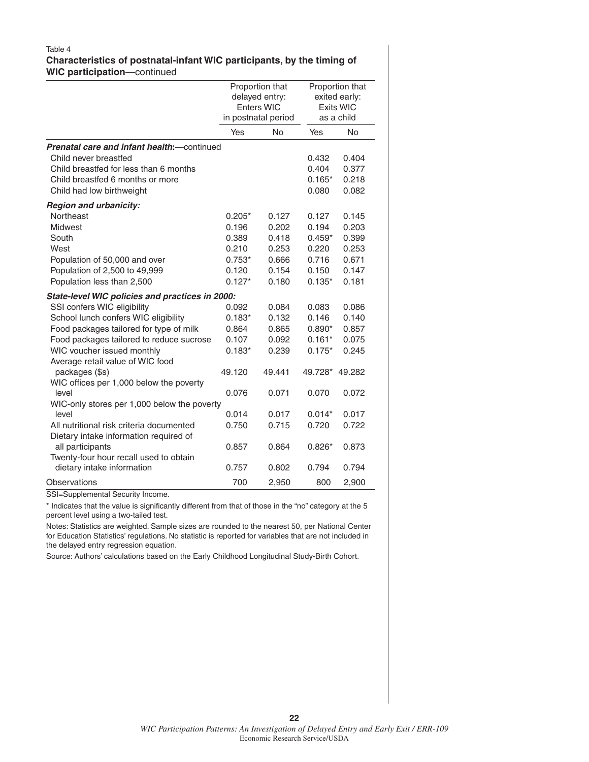#### Table 4 **Characteristics of postnatal-infant WIC participants, by the timing of WIC participation**—continued

|                                                     | Proportion that<br>delayed entry:<br>Enters WIC<br>in postnatal period |           |                | Proportion that<br>exited early:<br><b>Exits WIC</b><br>as a child |
|-----------------------------------------------------|------------------------------------------------------------------------|-----------|----------------|--------------------------------------------------------------------|
|                                                     | Yes                                                                    | <b>No</b> | Yes            | <b>No</b>                                                          |
| <b>Prenatal care and infant health:</b> - continued |                                                                        |           |                |                                                                    |
| Child never breastfed                               |                                                                        |           | 0.432          | 0.404                                                              |
| Child breastfed for less than 6 months              |                                                                        |           | 0.404          | 0.377                                                              |
| Child breastfed 6 months or more                    |                                                                        |           | $0.165*$       | 0.218                                                              |
| Child had low birthweight                           |                                                                        |           | 0.080          | 0.082                                                              |
| <b>Region and urbanicity:</b>                       |                                                                        |           |                |                                                                    |
| Northeast                                           | $0.205*$                                                               | 0.127     | 0.127          | 0.145                                                              |
| <b>Midwest</b>                                      | 0.196                                                                  | 0.202     | 0.194          | 0.203                                                              |
| South                                               | 0.389                                                                  | 0.418     | $0.459*$       | 0.399                                                              |
| West                                                | 0.210                                                                  | 0.253     | 0.220          | 0.253                                                              |
| Population of 50,000 and over                       | $0.753*$                                                               | 0.666     | 0.716          | 0.671                                                              |
| Population of 2,500 to 49,999                       | 0.120                                                                  | 0.154     | 0.150          | 0.147                                                              |
| Population less than 2,500                          | $0.127*$                                                               | 0.180     | $0.135*$       | 0.181                                                              |
| State-level WIC policies and practices in 2000:     |                                                                        |           |                |                                                                    |
| SSI confers WIC eligibility                         | 0.092                                                                  | 0.084     | 0.083          | 0.086                                                              |
| School lunch confers WIC eligibility                | $0.183*$                                                               | 0.132     | 0.146          | 0.140                                                              |
| Food packages tailored for type of milk             | 0.864                                                                  | 0.865     | $0.890*$       | 0.857                                                              |
| Food packages tailored to reduce sucrose            | 0.107                                                                  | 0.092     | $0.161*$       | 0.075                                                              |
| WIC voucher issued monthly                          | $0.183*$                                                               | 0.239     | $0.175*$       | 0.245                                                              |
| Average retail value of WIC food                    |                                                                        |           |                |                                                                    |
| packages (\$s)                                      | 49.120                                                                 | 49.441    | 49.728* 49.282 |                                                                    |
| WIC offices per 1,000 below the poverty             |                                                                        |           |                |                                                                    |
| level                                               | 0.076                                                                  | 0.071     | 0.070          | 0.072                                                              |
| WIC-only stores per 1,000 below the poverty         |                                                                        |           |                |                                                                    |
| level                                               | 0.014                                                                  | 0.017     | $0.014*$       | 0.017                                                              |
| All nutritional risk criteria documented            | 0.750                                                                  | 0.715     | 0.720          | 0.722                                                              |
| Dietary intake information required of              |                                                                        |           |                |                                                                    |
| all participants                                    | 0.857                                                                  | 0.864     | $0.826*$       | 0.873                                                              |
| Twenty-four hour recall used to obtain              |                                                                        |           |                |                                                                    |
| dietary intake information                          | 0.757                                                                  | 0.802     | 0.794          | 0.794                                                              |
| Observations                                        | 700                                                                    | 2,950     | 800            | 2,900                                                              |

SSI=Supplemental Security Income.

\* Indicates that the value is significantly different from that of those in the "no" category at the 5 percent level using a two-tailed test.

Notes: Statistics are weighted. Sample sizes are rounded to the nearest 50, per National Center for Education Statistics' regulations. No statistic is reported for variables that are not included in the delayed entry regression equation.

Source: Authors' calculations based on the Early Childhood Longitudinal Study-Birth Cohort.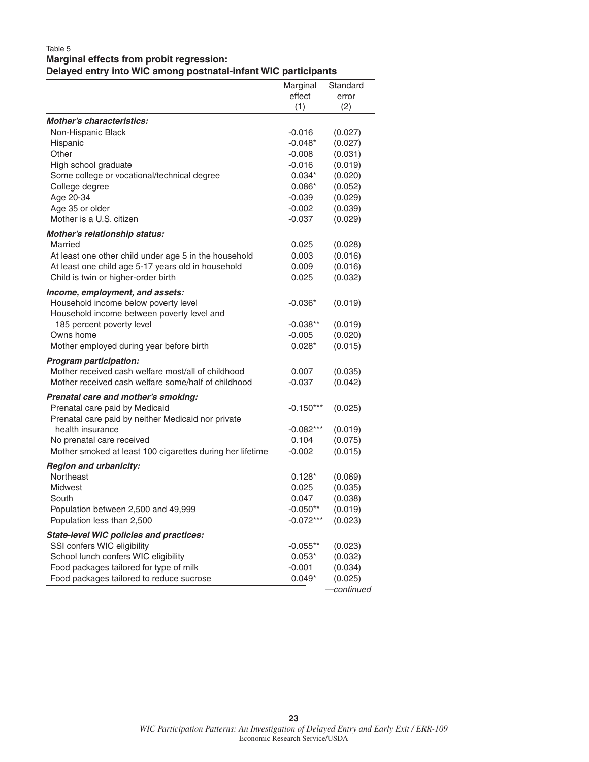#### Table 5 **Marginal effects from probit regression:**

**Delayed entry into WIC among postnatal-infant WIC participants**

|                                                           | Marginal    | Standard           |
|-----------------------------------------------------------|-------------|--------------------|
|                                                           | effect      | error              |
|                                                           | (1)         | (2)                |
| <b>Mother's characteristics:</b>                          |             |                    |
| Non-Hispanic Black                                        | $-0.016$    | (0.027)            |
| Hispanic                                                  | $-0.048*$   | (0.027)            |
| Other                                                     | $-0.008$    | (0.031)            |
| High school graduate                                      | $-0.016$    | (0.019)            |
| Some college or vocational/technical degree               | $0.034*$    | (0.020)            |
| College degree                                            | $0.086*$    | (0.052)            |
| Age 20-34                                                 | $-0.039$    | (0.029)            |
| Age 35 or older                                           | $-0.002$    | (0.039)            |
| Mother is a U.S. citizen                                  | $-0.037$    | (0.029)            |
| Mother's relationship status:                             |             |                    |
| Married                                                   | 0.025       | (0.028)            |
| At least one other child under age 5 in the household     | 0.003       | (0.016)            |
| At least one child age 5-17 years old in household        | 0.009       | (0.016)            |
| Child is twin or higher-order birth                       | 0.025       | (0.032)            |
| Income, employment, and assets:                           |             |                    |
| Household income below poverty level                      | $-0.036*$   | (0.019)            |
| Household income between poverty level and                |             |                    |
| 185 percent poverty level                                 | $-0.038**$  | (0.019)            |
| Owns home                                                 | $-0.005$    | (0.020)            |
| Mother employed during year before birth                  | $0.028*$    | (0.015)            |
| Program participation:                                    |             |                    |
| Mother received cash welfare most/all of childhood        | 0.007       | (0.035)            |
| Mother received cash welfare some/half of childhood       | $-0.037$    | (0.042)            |
| Prenatal care and mother's smoking:                       |             |                    |
| Prenatal care paid by Medicaid                            | $-0.150***$ | (0.025)            |
| Prenatal care paid by neither Medicaid nor private        |             |                    |
| health insurance                                          | $-0.082***$ | (0.019)            |
| No prenatal care received                                 | 0.104       | (0.075)            |
| Mother smoked at least 100 cigarettes during her lifetime | $-0.002$    | (0.015)            |
|                                                           |             |                    |
| <b>Region and urbanicity:</b><br>Northeast                | $0.128*$    |                    |
| Midwest                                                   | 0.025       | (0.069)<br>(0.035) |
| South                                                     | 0.047       | (0.038)            |
| Population between 2,500 and 49,999                       | $-0.050**$  | (0.019)            |
| Population less than 2,500                                | $-0.072***$ | (0.023)            |
|                                                           |             |                    |
| <b>State-level WIC policies and practices:</b>            |             |                    |
| SSI confers WIC eligibility                               | $-0.055**$  | (0.023)            |
| School lunch confers WIC eligibility                      | $0.053*$    | (0.032)            |
| Food packages tailored for type of milk                   | $-0.001$    | (0.034)            |
| Food packages tailored to reduce sucrose                  | $0.049*$    | (0.025)            |
|                                                           |             | continued          |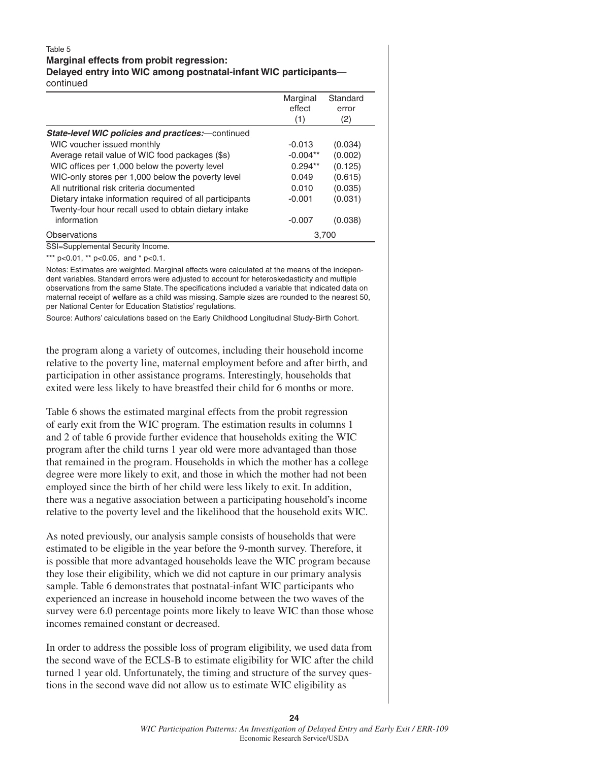#### Table 5 **Marginal effects from probit regression: Delayed entry into WIC among postnatal-infant WIC participants**—

continued

|                                                                                                                  | Marginal<br>effect<br>(1) | Standard<br>error<br>(2) |
|------------------------------------------------------------------------------------------------------------------|---------------------------|--------------------------|
| <b>State-level WIC policies and practices:</b> -continued                                                        |                           |                          |
| WIC voucher issued monthly                                                                                       | $-0.013$                  | (0.034)                  |
| Average retail value of WIC food packages (\$s)                                                                  | $-0.004**$                | (0.002)                  |
| WIC offices per 1,000 below the poverty level                                                                    | $0.294**$                 | (0.125)                  |
| WIC-only stores per 1,000 below the poverty level                                                                | 0.049                     | (0.615)                  |
| All nutritional risk criteria documented                                                                         | 0.010                     | (0.035)                  |
| Dietary intake information required of all participants<br>Twenty-four hour recall used to obtain dietary intake | $-0.001$                  | (0.031)                  |
| information                                                                                                      | $-0.007$                  | (0.038)                  |
| Observations                                                                                                     |                           | 3,700                    |

SSI=Supplemental Security Income.

\*\*\* p<0.01, \*\* p<0.05, and \* p<0.1.

Notes: Estimates are weighted. Marginal effects were calculated at the means of the independent variables. Standard errors were adjusted to account for heteroskedasticity and multiple observations from the same State. The specifications included a variable that indicated data on maternal receipt of welfare as a child was missing. Sample sizes are rounded to the nearest 50, per National Center for Education Statistics' regulations.

Source: Authors' calculations based on the Early Childhood Longitudinal Study-Birth Cohort.

the program along a variety of outcomes, including their household income relative to the poverty line, maternal employment before and after birth, and participation in other assistance programs. Interestingly, households that exited were less likely to have breastfed their child for 6 months or more.

Table 6 shows the estimated marginal effects from the probit regression of early exit from the WIC program. The estimation results in columns 1 and 2 of table 6 provide further evidence that households exiting the WIC program after the child turns 1 year old were more advantaged than those that remained in the program. Households in which the mother has a college degree were more likely to exit, and those in which the mother had not been employed since the birth of her child were less likely to exit. In addition, there was a negative association between a participating household's income relative to the poverty level and the likelihood that the household exits WIC.

As noted previously, our analysis sample consists of households that were estimated to be eligible in the year before the 9-month survey. Therefore, it is possible that more advantaged households leave the WIC program because they lose their eligibility, which we did not capture in our primary analysis sample. Table 6 demonstrates that postnatal-infant WIC participants who experienced an increase in household income between the two waves of the survey were 6.0 percentage points more likely to leave WIC than those whose incomes remained constant or decreased.

In order to address the possible loss of program eligibility, we used data from the second wave of the ECLS-B to estimate eligibility for WIC after the child turned 1 year old. Unfortunately, the timing and structure of the survey questions in the second wave did not allow us to estimate WIC eligibility as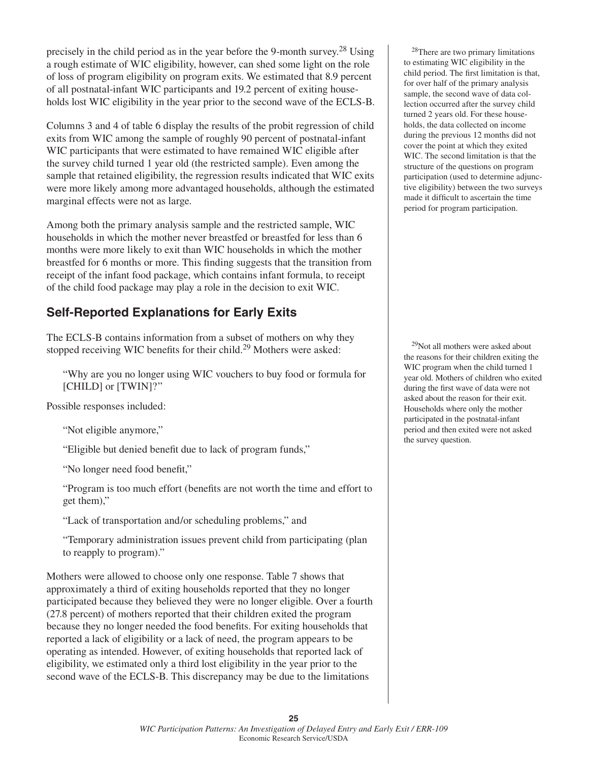precisely in the child period as in the year before the 9-month survey.<sup>28</sup> Using a rough estimate of WIC eligibility, however, can shed some light on the role of loss of program eligibility on program exits. We estimated that 8.9 percent of all postnatal-infant WIC participants and 19.2 percent of exiting households lost WIC eligibility in the year prior to the second wave of the ECLS-B.

Columns 3 and 4 of table 6 display the results of the probit regression of child exits from WIC among the sample of roughly 90 percent of postnatal-infant WIC participants that were estimated to have remained WIC eligible after the survey child turned 1 year old (the restricted sample). Even among the sample that retained eligibility, the regression results indicated that WIC exits were more likely among more advantaged households, although the estimated marginal effects were not as large.

Among both the primary analysis sample and the restricted sample, WIC households in which the mother never breastfed or breastfed for less than 6 months were more likely to exit than WIC households in which the mother breastfed for 6 months or more. This finding suggests that the transition from receipt of the infant food package, which contains infant formula, to receipt of the child food package may play a role in the decision to exit WIC.

#### **Self-Reported Explanations for Early Exits**

The ECLS-B contains information from a subset of mothers on why they stopped receiving WIC benefits for their child.<sup>29</sup> Mothers were asked:

 "Why are you no longer using WIC vouchers to buy food or formula for [CHILD] or [TWIN]?"

Possible responses included:

"Not eligible anymore,"

"Eligible but denied benefit due to lack of program funds,"

"No longer need food benefit,"

"Program is too much effort (benefits are not worth the time and effort to get them),"

"Lack of transportation and/or scheduling problems," and

 "Temporary administration issues prevent child from participating (plan to reapply to program)."

Mothers were allowed to choose only one response. Table 7 shows that approximately a third of exiting households reported that they no longer participated because they believed they were no longer eligible. Over a fourth (27.8 percent) of mothers reported that their children exited the program because they no longer needed the food benefits. For exiting households that reported a lack of eligibility or a lack of need, the program appears to be operating as intended. However, of exiting households that reported lack of eligibility, we estimated only a third lost eligibility in the year prior to the second wave of the ECLS-B. This discrepancy may be due to the limitations

28There are two primary limitations to estimating WIC eligibility in the child period. The first limitation is that, for over half of the primary analysis sample, the second wave of data collection occurred after the survey child turned 2 years old. For these households, the data collected on income during the previous 12 months did not cover the point at which they exited WIC. The second limitation is that the structure of the questions on program participation (used to determine adjunctive eligibility) between the two surveys made it difficult to ascertain the time period for program participation.

29Not all mothers were asked about the reasons for their children exiting the WIC program when the child turned 1 year old. Mothers of children who exited during the first wave of data were not asked about the reason for their exit. Households where only the mother participated in the postnatal-infant period and then exited were not asked the survey question.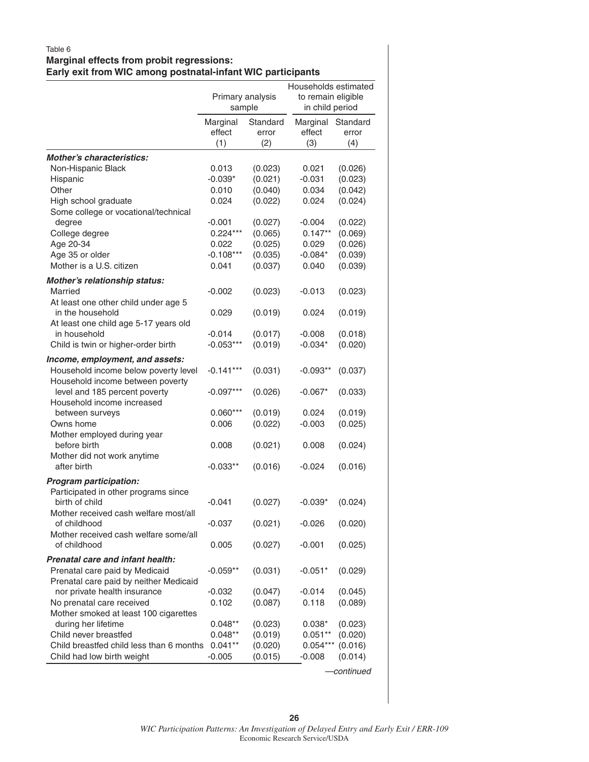#### Table 6 **Marginal effects from probit regressions: Early exit from WIC among postnatal-infant WIC participants**

|                                                                          | Primary analysis<br>sample |                          | Households estimated<br>to remain eligible<br>in child period |                          |
|--------------------------------------------------------------------------|----------------------------|--------------------------|---------------------------------------------------------------|--------------------------|
|                                                                          | Marginal<br>effect<br>(1)  | Standard<br>error<br>(2) | Marginal<br>effect<br>(3)                                     | Standard<br>error<br>(4) |
| <b>Mother's characteristics:</b>                                         |                            |                          |                                                               |                          |
| Non-Hispanic Black                                                       | 0.013                      | (0.023)                  | 0.021                                                         | (0.026)                  |
| Hispanic                                                                 | $-0.039*$                  | (0.021)                  | $-0.031$                                                      | (0.023)                  |
| Other                                                                    | 0.010                      | (0.040)                  | 0.034                                                         | (0.042)                  |
| High school graduate                                                     | 0.024                      | (0.022)                  | 0.024                                                         | (0.024)                  |
| Some college or vocational/technical                                     |                            |                          |                                                               |                          |
| degree                                                                   | $-0.001$                   | (0.027)                  | $-0.004$                                                      | (0.022)                  |
| College degree                                                           | $0.224***$                 | (0.065)                  | $0.147**$                                                     | (0.069)                  |
| Age 20-34                                                                | 0.022                      | (0.025)                  | 0.029                                                         | (0.026)                  |
| Age 35 or older                                                          | $-0.108***$                | (0.035)                  | $-0.084*$                                                     | (0.039)                  |
| Mother is a U.S. citizen                                                 | 0.041                      | (0.037)                  | 0.040                                                         | (0.039)                  |
| Mother's relationship status:                                            |                            |                          |                                                               |                          |
| Married                                                                  | -0.002                     | (0.023)                  | $-0.013$                                                      | (0.023)                  |
| At least one other child under age 5                                     |                            |                          |                                                               |                          |
| in the household                                                         | 0.029                      | (0.019)                  | 0.024                                                         | (0.019)                  |
| At least one child age 5-17 years old                                    |                            |                          |                                                               |                          |
| in household                                                             | $-0.014$                   | (0.017)                  | $-0.008$                                                      | (0.018)                  |
| Child is twin or higher-order birth                                      | $-0.053***$                | (0.019)                  | $-0.034*$                                                     | (0.020)                  |
| Income, employment, and assets:                                          |                            |                          |                                                               |                          |
| Household income below poverty level                                     | $-0.141***$                | (0.031)                  | $-0.093**$                                                    | (0.037)                  |
| Household income between poverty                                         |                            |                          |                                                               |                          |
| level and 185 percent poverty                                            | $-0.097***$                | (0.026)                  | $-0.067*$                                                     | (0.033)                  |
| Household income increased                                               |                            |                          |                                                               |                          |
| between surveys                                                          | $0.060***$                 | (0.019)                  | 0.024                                                         | (0.019)                  |
| Owns home                                                                | 0.006                      | (0.022)                  | $-0.003$                                                      | (0.025)                  |
| Mother employed during year<br>before birth                              | 0.008                      | (0.021)                  | 0.008                                                         | (0.024)                  |
| Mother did not work anytime                                              |                            |                          |                                                               |                          |
| after birth                                                              | $-0.033**$                 | (0.016)                  | $-0.024$                                                      | (0.016)                  |
|                                                                          |                            |                          |                                                               |                          |
| <b>Program participation:</b>                                            |                            |                          |                                                               |                          |
| Participated in other programs since<br>birth of child                   | $-0.041$                   |                          | $-0.039*$                                                     |                          |
| Mother received cash welfare most/all                                    |                            | (0.027)                  |                                                               | (0.024)                  |
| of childhood                                                             | $-0.037$                   | (0.021)                  | $-0.026$                                                      | (0.020)                  |
| Mother received cash welfare some/all                                    |                            |                          |                                                               |                          |
| of childhood                                                             | 0.005                      | (0.027)                  | $-0.001$                                                      | (0.025)                  |
|                                                                          |                            |                          |                                                               |                          |
| Prenatal care and infant health:                                         |                            |                          |                                                               |                          |
| Prenatal care paid by Medicaid<br>Prenatal care paid by neither Medicaid | $-0.059**$                 | (0.031)                  | $-0.051*$                                                     | (0.029)                  |
| nor private health insurance                                             | $-0.032$                   | (0.047)                  | $-0.014$                                                      | (0.045)                  |
| No prenatal care received                                                | 0.102                      | (0.087)                  | 0.118                                                         | (0.089)                  |
| Mother smoked at least 100 cigarettes                                    |                            |                          |                                                               |                          |
| during her lifetime                                                      | $0.048**$                  | (0.023)                  | $0.038*$                                                      | (0.023)                  |
| Child never breastfed                                                    | $0.048**$                  | (0.019)                  | $0.051**$                                                     | (0.020)                  |
| Child breastfed child less than 6 months                                 | $0.041**$                  | (0.020)                  | $0.054***$                                                    | (0.016)                  |
| Child had low birth weight                                               | -0.005                     | (0.015)                  | $-0.008$                                                      | (0.014)                  |
|                                                                          |                            |                          |                                                               | -continued               |

*WIC Participation Patterns: An Investigation of Delayed Entry and Early Exit / ERR-109* Economic Research Service/USDA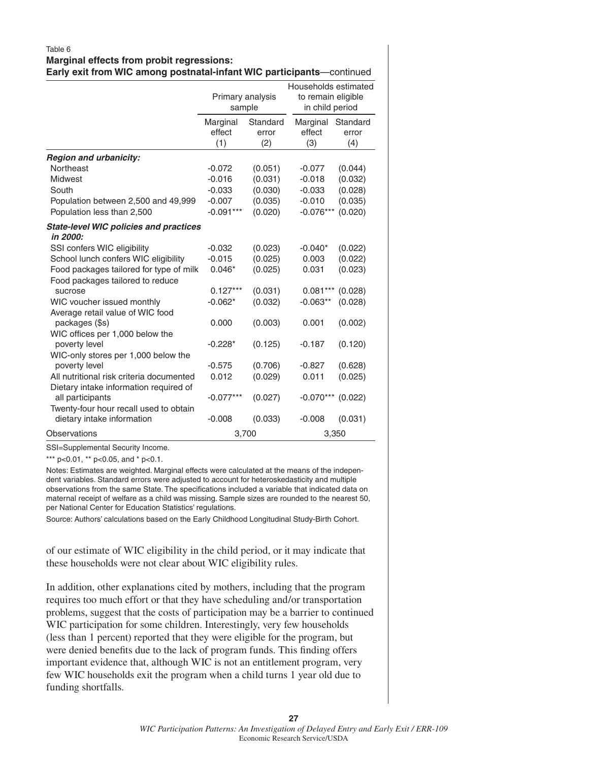#### Table 6 **Marginal effects from probit regressions: Early exit from WIC among postnatal-infant WIC participants**—continued

|                                                           | Primary analysis<br>sample |                          | Households estimated<br>to remain eligible<br>in child period |                          |
|-----------------------------------------------------------|----------------------------|--------------------------|---------------------------------------------------------------|--------------------------|
|                                                           | Marginal<br>effect<br>(1)  | Standard<br>error<br>(2) | Marginal<br>effect<br>(3)                                     | Standard<br>error<br>(4) |
| <b>Region and urbanicity:</b>                             |                            |                          |                                                               |                          |
| Northeast                                                 | $-0.072$                   | (0.051)                  | $-0.077$                                                      | (0.044)                  |
| <b>Midwest</b>                                            | $-0.016$                   | (0.031)                  | $-0.018$                                                      | (0.032)                  |
| South                                                     | $-0.033$                   | (0.030)                  | $-0.033$                                                      | (0.028)                  |
| Population between 2,500 and 49,999                       | $-0.007$                   | (0.035)                  | $-0.010$                                                      | (0.035)                  |
| Population less than 2,500                                | $-0.091***$                | (0.020)                  | $-0.076***$                                                   | (0.020)                  |
| <b>State-level WIC policies and practices</b><br>in 2000: |                            |                          |                                                               |                          |
| SSI confers WIC eligibility                               | $-0.032$                   | (0.023)                  | $-0.040*$                                                     | (0.022)                  |
| School lunch confers WIC eligibility                      | $-0.015$                   | (0.025)                  | 0.003                                                         | (0.022)                  |
| Food packages tailored for type of milk                   | $0.046*$                   | (0.025)                  | 0.031                                                         | (0.023)                  |
| Food packages tailored to reduce                          |                            |                          |                                                               |                          |
| sucrose                                                   | $0.127***$                 | (0.031)                  | $0.081***$                                                    | (0.028)                  |
| WIC voucher issued monthly                                | $-0.062*$                  | (0.032)                  | $-0.063**$                                                    | (0.028)                  |
| Average retail value of WIC food                          |                            |                          |                                                               |                          |
| packages (\$s)                                            | 0.000                      | (0.003)                  | 0.001                                                         | (0.002)                  |
| WIC offices per 1,000 below the                           |                            |                          |                                                               |                          |
| poverty level                                             | $-0.228*$                  | (0.125)                  | $-0.187$                                                      | (0.120)                  |
| WIC-only stores per 1,000 below the<br>poverty level      | $-0.575$                   | (0.706)                  | $-0.827$                                                      | (0.628)                  |
| All nutritional risk criteria documented                  | 0.012                      | (0.029)                  | 0.011                                                         | (0.025)                  |
| Dietary intake information required of                    |                            |                          |                                                               |                          |
| all participants                                          | $-0.077***$                | (0.027)                  | $-0.070***$                                                   | (0.022)                  |
| Twenty-four hour recall used to obtain                    |                            |                          |                                                               |                          |
| dietary intake information                                | $-0.008$                   | (0.033)                  | $-0.008$                                                      | (0.031)                  |
| Observations                                              |                            | 3,700                    |                                                               | 3,350                    |

SSI=Supplemental Security Income.

\*\*\* p<0.01, \*\* p<0.05, and \* p<0.1.

Notes: Estimates are weighted. Marginal effects were calculated at the means of the independent variables. Standard errors were adjusted to account for heteroskedasticity and multiple observations from the same State. The specifications included a variable that indicated data on maternal receipt of welfare as a child was missing. Sample sizes are rounded to the nearest 50, per National Center for Education Statistics' regulations.

Source: Authors' calculations based on the Early Childhood Longitudinal Study-Birth Cohort.

of our estimate of WIC eligibility in the child period, or it may indicate that these households were not clear about WIC eligibility rules.

In addition, other explanations cited by mothers, including that the program requires too much effort or that they have scheduling and/or transportation problems, suggest that the costs of participation may be a barrier to continued WIC participation for some children. Interestingly, very few households (less than 1 percent) reported that they were eligible for the program, but were denied benefits due to the lack of program funds. This finding offers important evidence that, although WIC is not an entitlement program, very few WIC households exit the program when a child turns 1 year old due to funding shortfalls.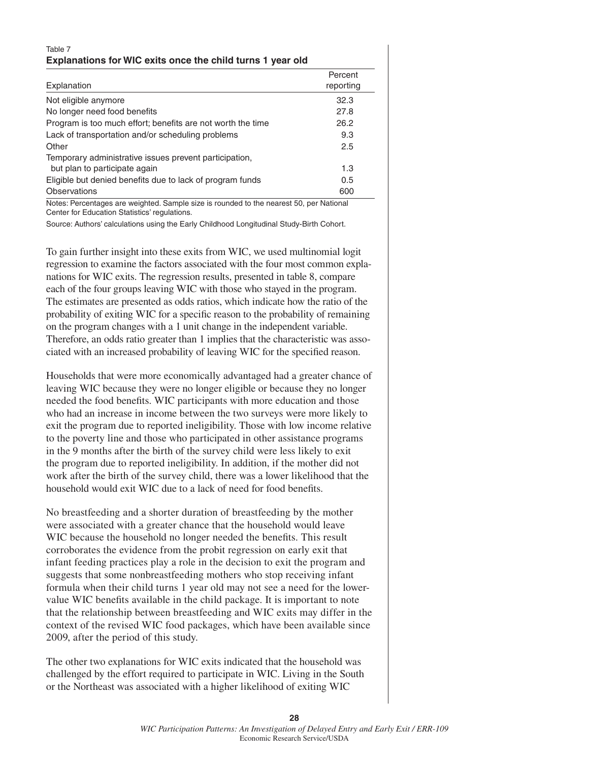#### Table 7 **Explanations for WIC exits once the child turns 1 year old**

| Explanation                                                 | Percent<br>reporting |
|-------------------------------------------------------------|----------------------|
| Not eligible anymore                                        | 32.3                 |
| No longer need food benefits                                | 27.8                 |
| Program is too much effort; benefits are not worth the time | 26.2                 |
| Lack of transportation and/or scheduling problems           | 9.3                  |
| Other                                                       | 2.5                  |
| Temporary administrative issues prevent participation,      |                      |
| but plan to participate again                               | 1.3                  |
| Eligible but denied benefits due to lack of program funds   | 0.5                  |
| <b>Observations</b>                                         | 600                  |
| $\cdots$ $\sim$ $\cdots$<br>.<br>$- - -$                    |                      |

Notes: Percentages are weighted. Sample size is rounded to the nearest 50, per National Center for Education Statistics' regulations.

Source: Authors' calculations using the Early Childhood Longitudinal Study-Birth Cohort.

To gain further insight into these exits from WIC, we used multinomial logit regression to examine the factors associated with the four most common explanations for WIC exits. The regression results, presented in table 8, compare each of the four groups leaving WIC with those who stayed in the program. The estimates are presented as odds ratios, which indicate how the ratio of the probability of exiting WIC for a specific reason to the probability of remaining on the program changes with a 1 unit change in the independent variable. Therefore, an odds ratio greater than 1 implies that the characteristic was associated with an increased probability of leaving WIC for the specified reason.

Households that were more economically advantaged had a greater chance of leaving WIC because they were no longer eligible or because they no longer needed the food benefits. WIC participants with more education and those who had an increase in income between the two surveys were more likely to exit the program due to reported ineligibility. Those with low income relative to the poverty line and those who participated in other assistance programs in the 9 months after the birth of the survey child were less likely to exit the program due to reported ineligibility. In addition, if the mother did not work after the birth of the survey child, there was a lower likelihood that the household would exit WIC due to a lack of need for food benefits.

No breastfeeding and a shorter duration of breastfeeding by the mother were associated with a greater chance that the household would leave WIC because the household no longer needed the benefits. This result corroborates the evidence from the probit regression on early exit that infant feeding practices play a role in the decision to exit the program and suggests that some nonbreastfeeding mothers who stop receiving infant formula when their child turns 1 year old may not see a need for the lowervalue WIC benefits available in the child package. It is important to note that the relationship between breastfeeding and WIC exits may differ in the context of the revised WIC food packages, which have been available since 2009, after the period of this study.

The other two explanations for WIC exits indicated that the household was challenged by the effort required to participate in WIC. Living in the South or the Northeast was associated with a higher likelihood of exiting WIC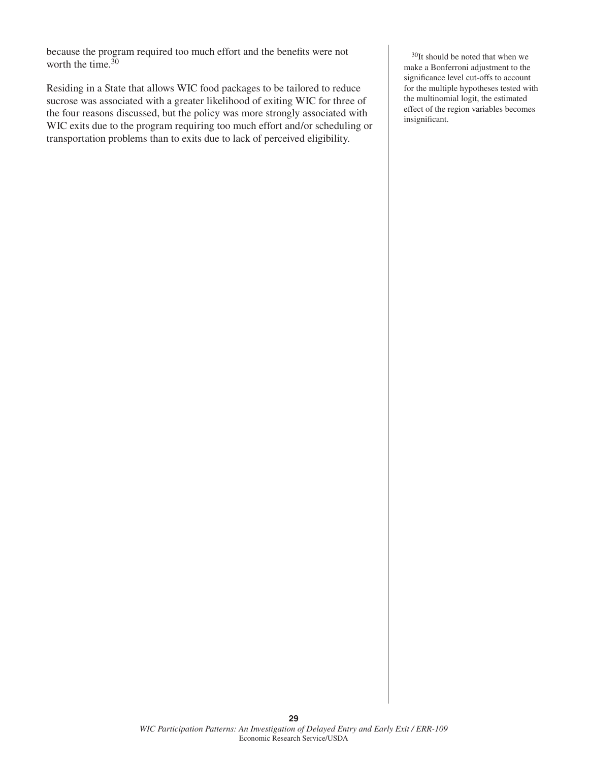because the program required too much effort and the benefits were not worth the time. $30$ 

Residing in a State that allows WIC food packages to be tailored to reduce sucrose was associated with a greater likelihood of exiting WIC for three of the four reasons discussed, but the policy was more strongly associated with WIC exits due to the program requiring too much effort and/or scheduling or transportation problems than to exits due to lack of perceived eligibility.

30It should be noted that when we make a Bonferroni adjustment to the significance level cut-offs to account for the multiple hypotheses tested with the multinomial logit, the estimated effect of the region variables becomes insignificant.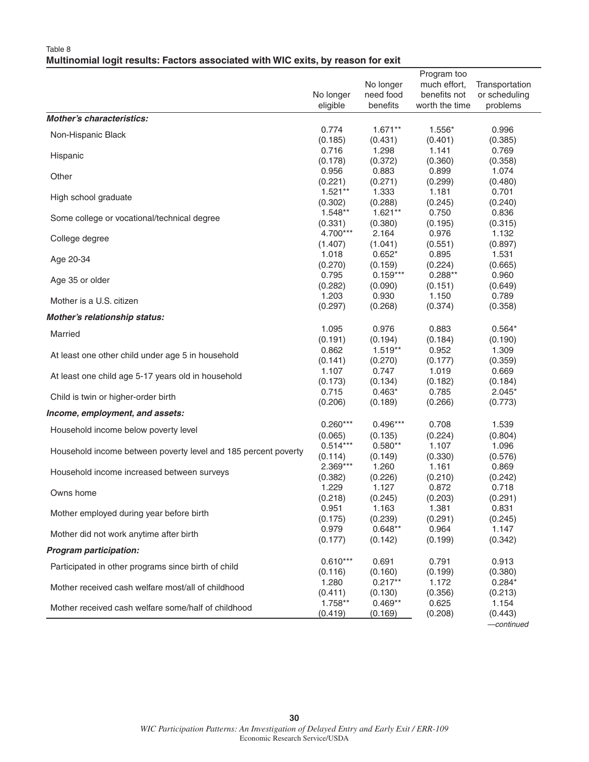#### Table 8 **Multinomial logit results: Factors associated with WIC exits, by reason for exit**

|                                                                |                       | No longer            | Program too<br>much effort, | Transportation      |
|----------------------------------------------------------------|-----------------------|----------------------|-----------------------------|---------------------|
|                                                                | No longer             | need food            | benefits not                | or scheduling       |
|                                                                | eligible              | benefits             | worth the time              | problems            |
| <b>Mother's characteristics:</b>                               |                       |                      |                             |                     |
| Non-Hispanic Black                                             | 0.774                 | $1.671**$            | 1.556*                      | 0.996               |
|                                                                | (0.185)               | (0.431)              | (0.401)                     | (0.385)             |
| Hispanic                                                       | 0.716<br>(0.178)      | 1.298<br>(0.372)     | 1.141<br>(0.360)            | 0.769<br>(0.358)    |
|                                                                | 0.956                 | 0.883                | 0.899                       | 1.074               |
| Other                                                          | (0.221)               | (0.271)              | (0.299)                     | (0.480)             |
|                                                                | $1.521**$             | 1.333                | 1.181                       | 0.701               |
| High school graduate                                           | (0.302)               | (0.288)              | (0.245)                     | (0.240)             |
| Some college or vocational/technical degree                    | 1.548**               | $1.621**$            | 0.750                       | 0.836               |
|                                                                | (0.331)               | (0.380)              | (0.195)                     | (0.315)             |
| College degree                                                 | 4.700***              | 2.164                | 0.976                       | 1.132               |
|                                                                | (1.407)               | (1.041)              | (0.551)                     | (0.897)             |
| Age 20-34                                                      | 1.018                 | $0.652*$             | 0.895                       | 1.531               |
|                                                                | (0.270)               | (0.159)              | (0.224)                     | (0.665)             |
| Age 35 or older                                                | 0.795                 | $0.159***$           | $0.288**$                   | 0.960               |
|                                                                | (0.282)<br>1.203      | (0.090)<br>0.930     | (0.151)<br>1.150            | (0.649)<br>0.789    |
| Mother is a U.S. citizen                                       | (0.297)               | (0.268)              | (0.374)                     | (0.358)             |
| Mother's relationship status:                                  |                       |                      |                             |                     |
|                                                                | 1.095                 | 0.976                | 0.883                       | $0.564*$            |
| Married                                                        | (0.191)               | (0.194)              | (0.184)                     | (0.190)             |
|                                                                | 0.862                 | $1.519**$            | 0.952                       | 1.309               |
| At least one other child under age 5 in household              | (0.141)               | (0.270)              | (0.177)                     | (0.359)             |
| At least one child age 5-17 years old in household             | 1.107                 | 0.747                | 1.019                       | 0.669               |
|                                                                | (0.173)               | (0.134)              | (0.182)                     | (0.184)             |
| Child is twin or higher-order birth                            | 0.715                 | $0.463*$             | 0.785                       | $2.045*$            |
|                                                                | (0.206)               | (0.189)              | (0.266)                     | (0.773)             |
| Income, employment, and assets:                                |                       |                      |                             |                     |
| Household income below poverty level                           | $0.260***$            | $0.496***$           | 0.708                       | 1.539               |
|                                                                | (0.065)<br>$0.514***$ | (0.135)<br>$0.580**$ | (0.224)<br>1.107            | (0.804)<br>1.096    |
| Household income between poverty level and 185 percent poverty | (0.114)               | (0.149)              | (0.330)                     | (0.576)             |
|                                                                | $2.369***$            | 1.260                | 1.161                       | 0.869               |
| Household income increased between surveys                     | (0.382)               | (0.226)              | (0.210)                     | (0.242)             |
|                                                                | 1.229                 | 1.127                | 0.872                       | 0.718               |
| Owns home                                                      | (0.218)               | (0.245)              | (0.203)                     | (0.291)             |
| Mother employed during year before birth                       | 0.951                 | 1.163                | 1.381                       | 0.831               |
|                                                                | (0.175)               | (0.239)              | (0.291)                     | (0.245)             |
| Mother did not work anytime after birth                        | 0.979                 | $0.648**$            | 0.964                       | 1.147               |
|                                                                | (0.177)               | (0.142)              | (0.199)                     | (0.342)             |
| <b>Program participation:</b>                                  |                       |                      |                             |                     |
| Participated in other programs since birth of child            | $0.610***$            | 0.691                | 0.791                       | 0.913               |
|                                                                | (0.116)<br>1.280      | (0.160)<br>$0.217**$ | (0.199)<br>1.172            | (0.380)<br>$0.284*$ |
| Mother received cash welfare most/all of childhood             | (0.411)               | (0.130)              | (0.356)                     | (0.213)             |
|                                                                | 1.758**               | $0.469**$            | 0.625                       | 1.154               |
| Mother received cash welfare some/half of childhood            | (0.419)               | (0.169)              | (0.208)                     | (0.443)             |
|                                                                |                       |                      |                             | —continued          |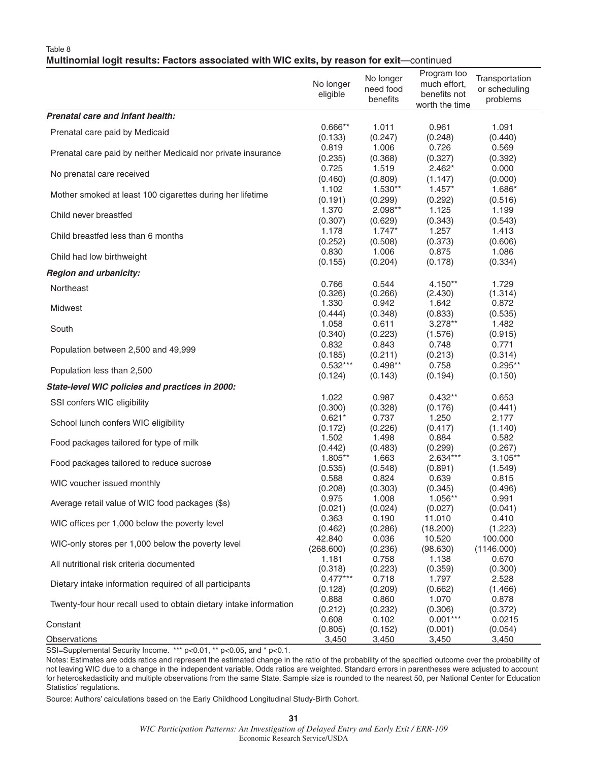#### Table 8

#### **Multinomial logit results: Factors associated with WIC exits, by reason for exit**—continued

|                                                                   | No longer<br>eligible | No longer<br>need food<br>benefits | Program too<br>much effort,<br>benefits not<br>worth the time | Transportation<br>or scheduling<br>problems |
|-------------------------------------------------------------------|-----------------------|------------------------------------|---------------------------------------------------------------|---------------------------------------------|
| Prenatal care and infant health:                                  |                       |                                    |                                                               |                                             |
| Prenatal care paid by Medicaid                                    | $0.666**$             | 1.011                              | 0.961                                                         | 1.091                                       |
|                                                                   | (0.133)               | (0.247)                            | (0.248)                                                       | (0.440)                                     |
| Prenatal care paid by neither Medicaid nor private insurance      | 0.819                 | 1.006                              | 0.726                                                         | 0.569                                       |
|                                                                   | (0.235)               | (0.368)                            | (0.327)                                                       | (0.392)                                     |
| No prenatal care received                                         | 0.725                 | 1.519                              | $2.462*$                                                      | 0.000                                       |
|                                                                   | (0.460)               | (0.809)                            | (1.147)                                                       | (0.000)                                     |
| Mother smoked at least 100 cigarettes during her lifetime         | 1.102                 | 1.530**                            | $1.457*$                                                      | 1.686*                                      |
|                                                                   | (0.191)               | (0.299)                            | (0.292)                                                       | (0.516)                                     |
| Child never breastfed                                             | 1.370                 | 2.098**                            | 1.125                                                         | 1.199                                       |
|                                                                   | (0.307)               | (0.629)                            | (0.343)                                                       | (0.543)                                     |
| Child breastfed less than 6 months                                | 1.178                 | $1.747*$                           | 1.257                                                         | 1.413                                       |
|                                                                   | (0.252)               | (0.508)                            | (0.373)                                                       | (0.606)                                     |
| Child had low birthweight                                         | 0.830                 | 1.006                              | 0.875                                                         | 1.086                                       |
|                                                                   | (0.155)               | (0.204)                            | (0.178)                                                       | (0.334)                                     |
| <b>Region and urbanicity:</b>                                     |                       |                                    |                                                               |                                             |
| Northeast                                                         | 0.766                 | 0.544                              | 4.150**                                                       | 1.729                                       |
|                                                                   | (0.326)               | (0.266)                            | (2.430)                                                       | (1.314)                                     |
|                                                                   | 1.330                 | 0.942                              | 1.642                                                         | 0.872                                       |
| Midwest                                                           | (0.444)               | (0.348)                            | (0.833)                                                       | (0.535)                                     |
|                                                                   | 1.058                 | 0.611                              | $3.278**$                                                     | 1.482                                       |
| South                                                             | (0.340)               | (0.223)                            | (1.576)                                                       | (0.915)                                     |
|                                                                   | 0.832                 | 0.843                              | 0.748                                                         | 0.771                                       |
| Population between 2,500 and 49,999                               | (0.185)               | (0.211)                            | (0.213)                                                       | (0.314)                                     |
|                                                                   | $0.532***$            | $0.498**$                          | 0.758                                                         | $0.295**$                                   |
| Population less than 2,500                                        | (0.124)               | (0.143)                            | (0.194)                                                       | (0.150)                                     |
| State-level WIC policies and practices in 2000:                   |                       |                                    |                                                               |                                             |
| SSI confers WIC eligibility                                       | 1.022                 | 0.987                              | $0.432**$                                                     | 0.653                                       |
|                                                                   | (0.300)               | (0.328)                            | (0.176)                                                       | (0.441)                                     |
| School lunch confers WIC eligibility                              | $0.621*$              | 0.737                              | 1.250                                                         | 2.177                                       |
|                                                                   | (0.172)               | (0.226)                            | (0.417)                                                       | (1.140)                                     |
| Food packages tailored for type of milk                           | 1.502                 | 1.498                              | 0.884                                                         | 0.582                                       |
|                                                                   | (0.442)               | (0.483)                            | (0.299)                                                       | (0.267)                                     |
| Food packages tailored to reduce sucrose                          | $1.805**$             | 1.663                              | 2.634***                                                      | $3.105***$                                  |
|                                                                   | (0.535)               | (0.548)                            | (0.891)                                                       | (1.549)                                     |
| WIC voucher issued monthly                                        | 0.588                 | 0.824                              | 0.639                                                         | 0.815                                       |
|                                                                   | (0.208)               | (0.303)                            | (0.345)                                                       | (0.496)                                     |
| Average retail value of WIC food packages (\$s)                   | 0.975                 | 1.008                              | 1.056**                                                       | 0.991                                       |
|                                                                   | (0.021)               | (0.024)                            | (0.027)                                                       | (0.041)                                     |
| WIC offices per 1,000 below the poverty level                     | 0.363                 | 0.190                              | 11.010                                                        | 0.410                                       |
|                                                                   | (0.462)               | (0.286)                            | (18.200)                                                      | (1.223)                                     |
| WIC-only stores per 1,000 below the poverty level                 | 42.840                | 0.036                              | 10.520                                                        | 100.000                                     |
|                                                                   | (268.600)             | (0.236)                            | (98.630)                                                      | (1146.000)                                  |
| All nutritional risk criteria documented                          | 1.181                 | 0.758                              | 1.138                                                         | 0.670                                       |
|                                                                   | (0.318)               | (0.223)                            | (0.359)                                                       | (0.300)                                     |
| Dietary intake information required of all participants           | $0.477***$            | 0.718                              | 1.797                                                         | 2.528                                       |
|                                                                   | (0.128)               | (0.209)                            | (0.662)                                                       | (1.466)                                     |
| Twenty-four hour recall used to obtain dietary intake information | 0.888                 | 0.860                              | 1.070                                                         | 0.878                                       |
|                                                                   | (0.212)               | (0.232)                            | (0.306)                                                       | (0.372)                                     |
| Constant                                                          | 0.608                 | 0.102                              | $0.001***$                                                    | 0.0215                                      |
| Observations                                                      | (0.805)               | (0.152)                            | (0.001)                                                       | (0.054)                                     |
|                                                                   | 3,450                 | 3,450                              | 3,450                                                         | 3,450                                       |

SSI=Supplemental Security Income. \*\*\* p<0.01, \*\* p<0.05, and \* p<0.1.

Notes: Estimates are odds ratios and represent the estimated change in the ratio of the probability of the specified outcome over the probability of not leaving WIC due to a change in the independent variable. Odds ratios are weighted. Standard errors in parentheses were adjusted to account for heteroskedasticity and multiple observations from the same State. Sample size is rounded to the nearest 50, per National Center for Education Statistics' regulations.

Source: Authors' calculations based on the Early Childhood Longitudinal Study-Birth Cohort.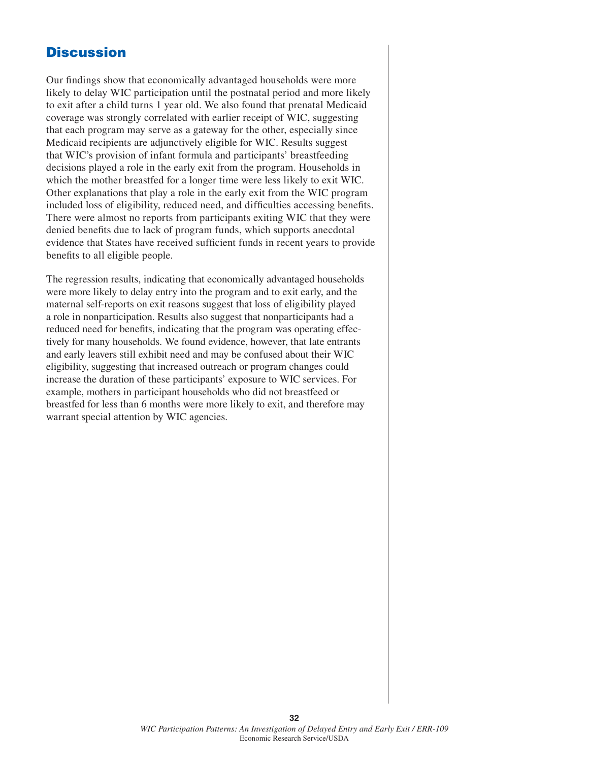### **Discussion**

Our findings show that economically advantaged households were more likely to delay WIC participation until the postnatal period and more likely to exit after a child turns 1 year old. We also found that prenatal Medicaid coverage was strongly correlated with earlier receipt of WIC, suggesting that each program may serve as a gateway for the other, especially since Medicaid recipients are adjunctively eligible for WIC. Results suggest that WIC's provision of infant formula and participants' breastfeeding decisions played a role in the early exit from the program. Households in which the mother breastfed for a longer time were less likely to exit WIC. Other explanations that play a role in the early exit from the WIC program included loss of eligibility, reduced need, and difficulties accessing benefits. There were almost no reports from participants exiting WIC that they were denied benefits due to lack of program funds, which supports anecdotal evidence that States have received sufficient funds in recent years to provide benefits to all eligible people.

The regression results, indicating that economically advantaged households were more likely to delay entry into the program and to exit early, and the maternal self-reports on exit reasons suggest that loss of eligibility played a role in nonparticipation. Results also suggest that nonparticipants had a reduced need for benefits, indicating that the program was operating effectively for many households. We found evidence, however, that late entrants and early leavers still exhibit need and may be confused about their WIC eligibility, suggesting that increased outreach or program changes could increase the duration of these participants' exposure to WIC services. For example, mothers in participant households who did not breastfeed or breastfed for less than 6 months were more likely to exit, and therefore may warrant special attention by WIC agencies.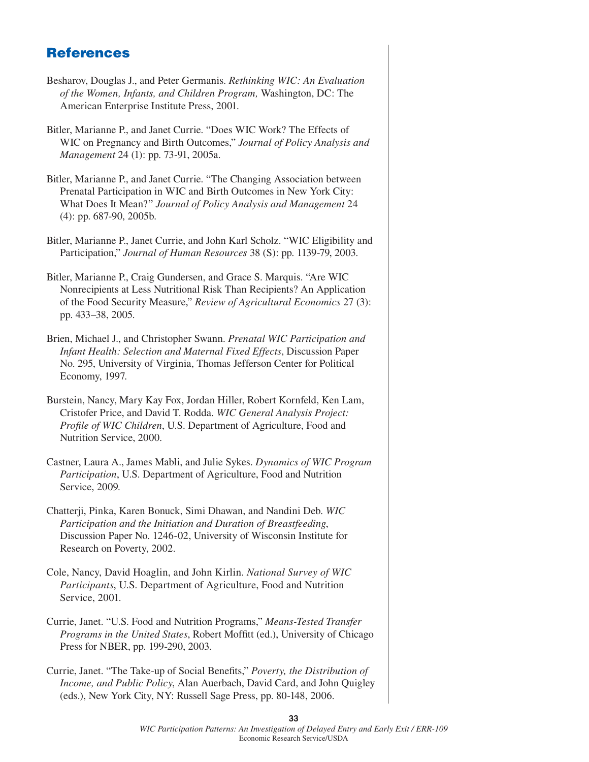# **References**

- Besharov, Douglas J., and Peter Germanis. *Rethinking WIC: An Evaluation of the Women, Infants, and Children Program,* Washington, DC: The American Enterprise Institute Press, 2001.
- Bitler, Marianne P., and Janet Currie. "Does WIC Work? The Effects of WIC on Pregnancy and Birth Outcomes," *Journal of Policy Analysis and Management* 24 (1): pp. 73-91, 2005a.
- Bitler, Marianne P., and Janet Currie. "The Changing Association between Prenatal Participation in WIC and Birth Outcomes in New York City: What Does It Mean?" *Journal of Policy Analysis and Management* 24 (4): pp. 687-90, 2005b.
- Bitler, Marianne P., Janet Currie, and John Karl Scholz. "WIC Eligibility and Participation," *Journal of Human Resources* 38 (S): pp. 1139-79, 2003.
- Bitler, Marianne P., Craig Gundersen, and Grace S. Marquis. "Are WIC Nonrecipients at Less Nutritional Risk Than Recipients? An Application of the Food Security Measure," *Review of Agricultural Economics* 27 (3): pp. 433–38, 2005.
- Brien, Michael J., and Christopher Swann. *Prenatal WIC Participation and Infant Health: Selection and Maternal Fixed Effects*, Discussion Paper No. 295, University of Virginia, Thomas Jefferson Center for Political Economy, 1997.
- Burstein, Nancy, Mary Kay Fox, Jordan Hiller, Robert Kornfeld, Ken Lam, Cristofer Price, and David T. Rodda. *WIC General Analysis Project:*  Profile of WIC Children, U.S. Department of Agriculture, Food and Nutrition Service, 2000.
- Castner, Laura A., James Mabli, and Julie Sykes. *Dynamics of WIC Program Participation*, U.S. Department of Agriculture, Food and Nutrition Service, 2009.
- Chatterji, Pinka, Karen Bonuck, Simi Dhawan, and Nandini Deb. *WIC Participation and the Initiation and Duration of Breastfeeding*, Discussion Paper No. 1246-02, University of Wisconsin Institute for Research on Poverty, 2002.
- Cole, Nancy, David Hoaglin, and John Kirlin. *National Survey of WIC Participants*, U.S. Department of Agriculture, Food and Nutrition Service, 2001.
- Currie, Janet. "U.S. Food and Nutrition Programs," *Means-Tested Transfer Programs in the United States, Robert Moffitt (ed.), University of Chicago* Press for NBER, pp. 199-290, 2003.
- Currie, Janet. "The Take-up of Social Benefits," *Poverty, the Distribution of Income, and Public Policy*, Alan Auerbach, David Card, and John Quigley (eds.), New York City, NY: Russell Sage Press, pp. 80-148, 2006.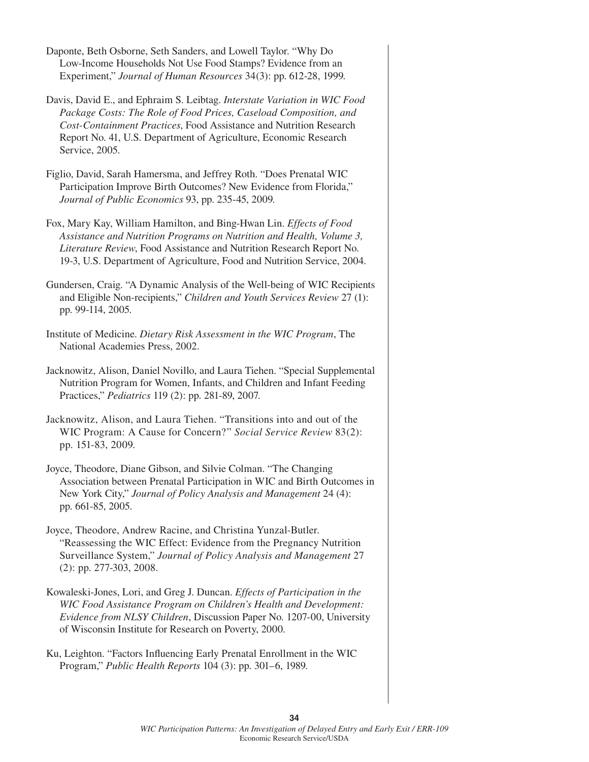- Daponte, Beth Osborne, Seth Sanders, and Lowell Taylor. "Why Do Low-Income Households Not Use Food Stamps? Evidence from an Experiment," *Journal of Human Resources* 34(3): pp. 612-28, 1999.
- Davis, David E., and Ephraim S. Leibtag. *Interstate Variation in WIC Food Package Costs: The Role of Food Prices, Caseload Composition, and Cost-Containment Practices*, Food Assistance and Nutrition Research Report No. 41, U.S. Department of Agriculture, Economic Research Service, 2005.
- Figlio, David, Sarah Hamersma, and Jeffrey Roth. "Does Prenatal WIC Participation Improve Birth Outcomes? New Evidence from Florida," *Journal of Public Economics* 93, pp. 235-45, 2009.
- Fox, Mary Kay, William Hamilton, and Bing-Hwan Lin. *Effects of Food Assistance and Nutrition Programs on Nutrition and Health, Volume 3, Literature Review*, Food Assistance and Nutrition Research Report No. 19-3, U.S. Department of Agriculture, Food and Nutrition Service, 2004.
- Gundersen, Craig. "A Dynamic Analysis of the Well-being of WIC Recipients and Eligible Non-recipients," *Children and Youth Services Review* 27 (1): pp. 99-114, 2005.
- Institute of Medicine. *Dietary Risk Assessment in the WIC Program*, The National Academies Press, 2002.
- Jacknowitz, Alison, Daniel Novillo, and Laura Tiehen. "Special Supplemental Nutrition Program for Women, Infants, and Children and Infant Feeding Practices," *Pediatrics* 119 (2): pp. 281-89, 2007.
- Jacknowitz, Alison, and Laura Tiehen. "Transitions into and out of the WIC Program: A Cause for Concern?" *Social Service Review* 83(2): pp. 151-83, 2009.
- Joyce, Theodore, Diane Gibson, and Silvie Colman. "The Changing Association between Prenatal Participation in WIC and Birth Outcomes in New York City," *Journal of Policy Analysis and Management* 24 (4): pp. 661-85, 2005.
- Joyce, Theodore, Andrew Racine, and Christina Yunzal-Butler. "Reassessing the WIC Effect: Evidence from the Pregnancy Nutrition Surveillance System," *Journal of Policy Analysis and Management* 27 (2): pp. 277-303, 2008.
- Kowaleski-Jones, Lori, and Greg J. Duncan. *Effects of Participation in the WIC Food Assistance Program on Children's Health and Development: Evidence from NLSY Children*, Discussion Paper No. 1207-00, University of Wisconsin Institute for Research on Poverty, 2000.
- Ku, Leighton. "Factors Influencing Early Prenatal Enrollment in the WIC Program," *Public Health Reports* 104 (3): pp. 301–6, 1989.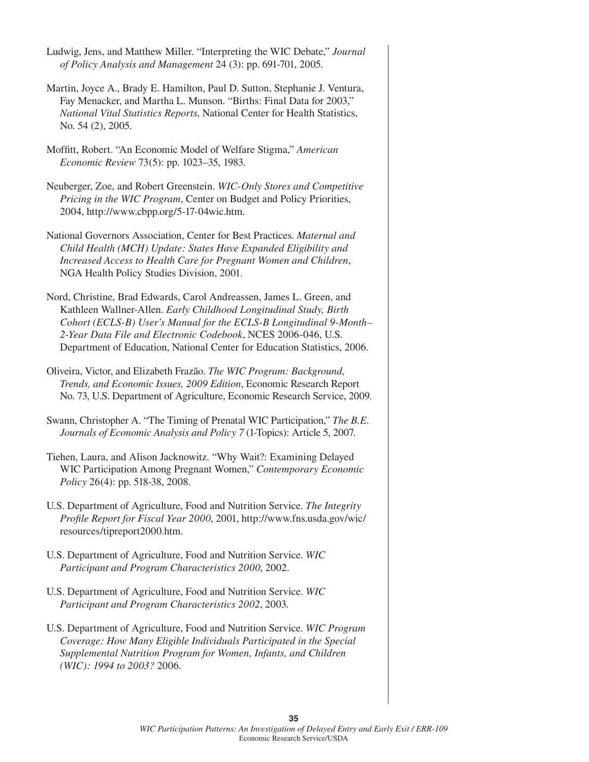| Martin, Joyce A., Brady E. Hamilton, Paul D. Sutton, Stephanie J. Ventura,<br>Fay Menacker, and Martha L. Munson. "Births: Final Data for 2003,"<br>National Vital Statistics Reports, National Center for Health Statistics,<br>No. 54 (2), 2005.<br>Moffitt, Robert. "An Economic Model of Welfare Stigma," American<br>Economic Review 73(5): pp. 1023-35, 1983.<br>Neuberger, Zoe, and Robert Greenstein. WIC-Only Stores and Competitive<br>Pricing in the WIC Program, Center on Budget and Policy Priorities,<br>2004, http://www.cbpp.org/5-17-04wic.htm.<br>National Governors Association, Center for Best Practices. Maternal and<br>Child Health (MCH) Update: States Have Expanded Eligibility and<br>Increased Access to Health Care for Pregnant Women and Children,<br>NGA Health Policy Studies Division, 2001.<br>Nord, Christine, Brad Edwards, Carol Andreassen, James L. Green, and<br>Kathleen Wallner-Allen. Early Childhood Longitudinal Study, Birth<br>Cohort (ECLS-B) User's Manual for the ECLS-B Longitudinal 9-Month-<br>2-Year Data File and Electronic Codebook, NCES 2006-046, U.S.<br>Department of Education, National Center for Education Statistics, 2006. |
|--------------------------------------------------------------------------------------------------------------------------------------------------------------------------------------------------------------------------------------------------------------------------------------------------------------------------------------------------------------------------------------------------------------------------------------------------------------------------------------------------------------------------------------------------------------------------------------------------------------------------------------------------------------------------------------------------------------------------------------------------------------------------------------------------------------------------------------------------------------------------------------------------------------------------------------------------------------------------------------------------------------------------------------------------------------------------------------------------------------------------------------------------------------------------------------------------|
|                                                                                                                                                                                                                                                                                                                                                                                                                                                                                                                                                                                                                                                                                                                                                                                                                                                                                                                                                                                                                                                                                                                                                                                                  |
|                                                                                                                                                                                                                                                                                                                                                                                                                                                                                                                                                                                                                                                                                                                                                                                                                                                                                                                                                                                                                                                                                                                                                                                                  |
|                                                                                                                                                                                                                                                                                                                                                                                                                                                                                                                                                                                                                                                                                                                                                                                                                                                                                                                                                                                                                                                                                                                                                                                                  |
|                                                                                                                                                                                                                                                                                                                                                                                                                                                                                                                                                                                                                                                                                                                                                                                                                                                                                                                                                                                                                                                                                                                                                                                                  |
|                                                                                                                                                                                                                                                                                                                                                                                                                                                                                                                                                                                                                                                                                                                                                                                                                                                                                                                                                                                                                                                                                                                                                                                                  |
| Oliveira, Victor, and Elizabeth Frazão. The WIC Program: Background,<br>Trends, and Economic Issues, 2009 Edition, Economic Research Report<br>No. 73, U.S. Department of Agriculture, Economic Research Service, 2009.                                                                                                                                                                                                                                                                                                                                                                                                                                                                                                                                                                                                                                                                                                                                                                                                                                                                                                                                                                          |
| Swann, Christopher A. "The Timing of Prenatal WIC Participation," The B.E.<br>Journals of Economic Analysis and Policy 7 (1-Topics): Article 5, 2007.                                                                                                                                                                                                                                                                                                                                                                                                                                                                                                                                                                                                                                                                                                                                                                                                                                                                                                                                                                                                                                            |
| Tiehen, Laura, and Alison Jacknowitz. "Why Wait?: Examining Delayed<br>WIC Participation Among Pregnant Women," Contemporary Economic<br>Policy 26(4): pp. 518-38, 2008.                                                                                                                                                                                                                                                                                                                                                                                                                                                                                                                                                                                                                                                                                                                                                                                                                                                                                                                                                                                                                         |
| U.S. Department of Agriculture, Food and Nutrition Service. The Integrity<br>Profile Report for Fiscal Year 2000, 2001, http://www.fns.usda.gov/wic/<br>resources/tipreport2000.htm.                                                                                                                                                                                                                                                                                                                                                                                                                                                                                                                                                                                                                                                                                                                                                                                                                                                                                                                                                                                                             |
| U.S. Department of Agriculture, Food and Nutrition Service. WIC<br>Participant and Program Characteristics 2000, 2002.                                                                                                                                                                                                                                                                                                                                                                                                                                                                                                                                                                                                                                                                                                                                                                                                                                                                                                                                                                                                                                                                           |
| U.S. Department of Agriculture, Food and Nutrition Service. WIC<br>Participant and Program Characteristics 2002, 2003.                                                                                                                                                                                                                                                                                                                                                                                                                                                                                                                                                                                                                                                                                                                                                                                                                                                                                                                                                                                                                                                                           |

U.S. Department of Agriculture, Food and Nutrition Service. *WIC Program Coverage: How Many Eligible Individuals Participated in the Special Supplemental Nutrition Program for Women, Infants, and Children (WIC): 1994 to 2003?* 2006.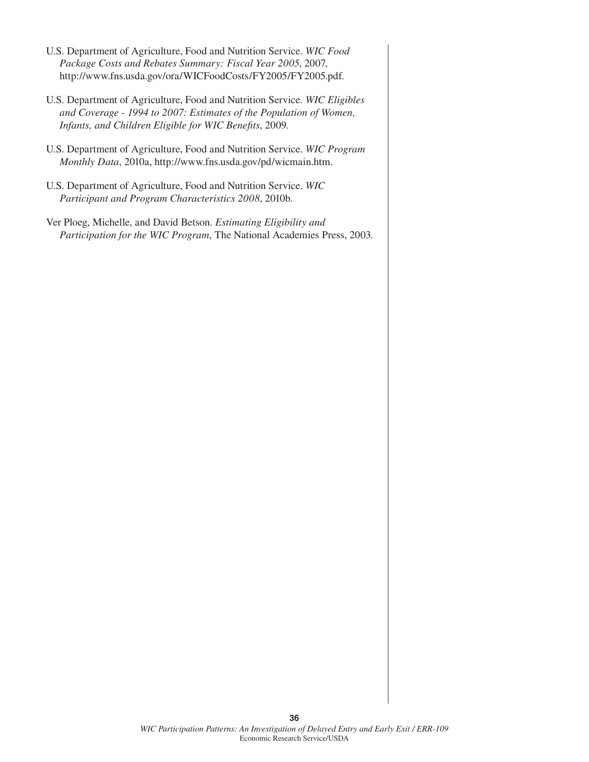- U.S. Department of Agriculture, Food and Nutrition Service. *WIC Food Package Costs and Rebates Summary: Fiscal Year 2005*, 2007, http://www.fns.usda.gov/ora/WICFoodCosts/FY2005/FY2005.pdf.
- U.S. Department of Agriculture, Food and Nutrition Service. *WIC Eligibles and Coverage - 1994 to 2007: Estimates of the Population of Women, Infants, and Children Eligible for WIC Benefits, 2009.*
- U.S. Department of Agriculture, Food and Nutrition Service. *WIC Program Monthly Data*, 2010a, http://www.fns.usda.gov/pd/wicmain.htm.
- U.S. Department of Agriculture, Food and Nutrition Service. *WIC Participant and Program Characteristics 2008*, 2010b.
- Ver Ploeg, Michelle, and David Betson. *Estimating Eligibility and Participation for the WIC Program*, The National Academies Press, 2003.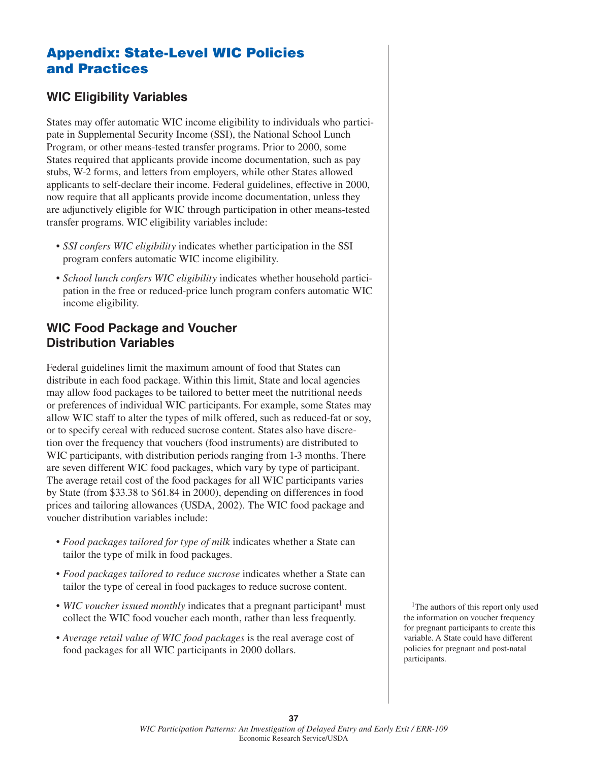# **Appendix: State-Level WIC Policies and Practices**

#### **WIC Eligibility Variables**

States may offer automatic WIC income eligibility to individuals who participate in Supplemental Security Income (SSI), the National School Lunch Program, or other means-tested transfer programs. Prior to 2000, some States required that applicants provide income documentation, such as pay stubs, W-2 forms, and letters from employers, while other States allowed applicants to self-declare their income. Federal guidelines, effective in 2000, now require that all applicants provide income documentation, unless they are adjunctively eligible for WIC through participation in other means-tested transfer programs. WIC eligibility variables include:

- *SSI confers WIC eligibility* indicates whether participation in the SSI program confers automatic WIC income eligibility.
- *School lunch confers WIC eligibility* indicates whether household participation in the free or reduced-price lunch program confers automatic WIC income eligibility.

#### **WIC Food Package and Voucher Distribution Variables**

Federal guidelines limit the maximum amount of food that States can distribute in each food package. Within this limit, State and local agencies may allow food packages to be tailored to better meet the nutritional needs or preferences of individual WIC participants. For example, some States may allow WIC staff to alter the types of milk offered, such as reduced-fat or soy, or to specify cereal with reduced sucrose content. States also have discretion over the frequency that vouchers (food instruments) are distributed to WIC participants, with distribution periods ranging from 1-3 months. There are seven different WIC food packages, which vary by type of participant. The average retail cost of the food packages for all WIC participants varies by State (from \$33.38 to \$61.84 in 2000), depending on differences in food prices and tailoring allowances (USDA, 2002). The WIC food package and voucher distribution variables include:

- *Food packages tailored for type of milk* indicates whether a State can tailor the type of milk in food packages.
- *Food packages tailored to reduce sucrose* indicates whether a State can tailor the type of cereal in food packages to reduce sucrose content.
- *WIC voucher issued monthly* indicates that a pregnant participant<sup>1</sup> must collect the WIC food voucher each month, rather than less frequently.
- *Average retail value of WIC food packages* is the real average cost of food packages for all WIC participants in 2000 dollars.

<sup>1</sup>The authors of this report only used the information on voucher frequency for pregnant participants to create this variable. A State could have different policies for pregnant and post-natal participants.